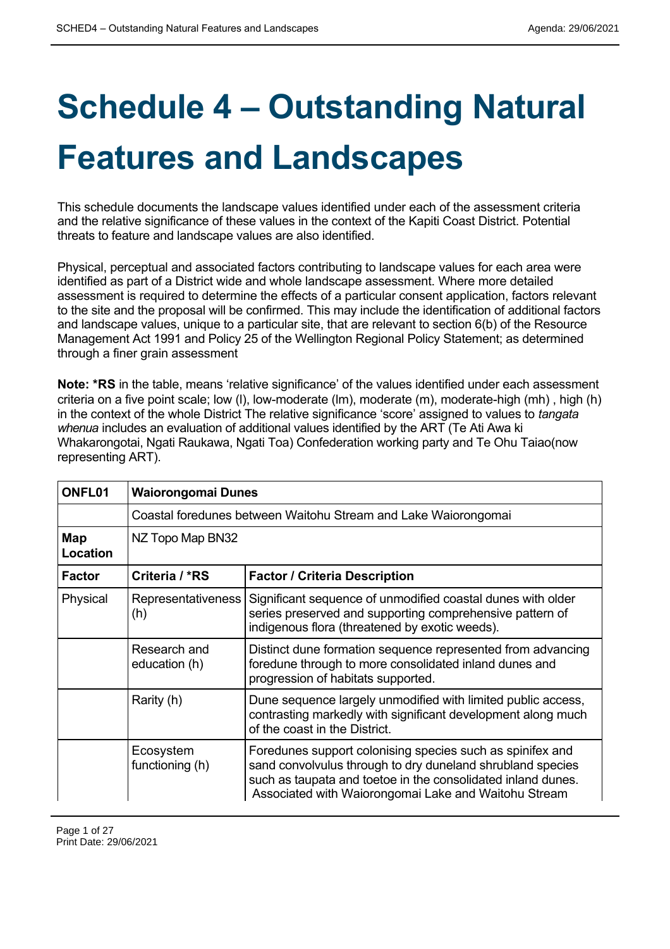## **Schedule 4 – Outstanding Natural Features and Landscapes**

This schedule documents the landscape values identified under each of the assessment criteria and the relative significance of these values in the context of the Kapiti Coast District. Potential threats to feature and landscape values are also identified.

Physical, perceptual and associated factors contributing to landscape values for each area were identified as part of a District wide and whole landscape assessment. Where more detailed assessment is required to determine the effects of a particular consent application, factors relevant to the site and the proposal will be confirmed. This may include the identification of additional factors and landscape values, unique to a particular site, that are relevant to section 6(b) of the Resource Management Act 1991 and Policy 25 of the Wellington Regional Policy Statement; as determined through a finer grain assessment

**Note: \*RS** in the table, means 'relative significance' of the values identified under each assessment criteria on a five point scale; low (l), low-moderate (lm), moderate (m), moderate-high (mh) , high (h) in the context of the whole District The relative significance 'score' assigned to values to *tangata whenua* includes an evaluation of additional values identified by the ART (Te Ati Awa ki Whakarongotai, Ngati Raukawa, Ngati Toa) Confederation working party and Te Ohu Taiao(now representing ART).

| ONFL01          | <b>Waiorongomai Dunes</b>                                      |                                                                                                                                                                                                                                                 |
|-----------------|----------------------------------------------------------------|-------------------------------------------------------------------------------------------------------------------------------------------------------------------------------------------------------------------------------------------------|
|                 | Coastal foredunes between Waitohu Stream and Lake Waiorongomai |                                                                                                                                                                                                                                                 |
| Map<br>Location | NZ Topo Map BN32                                               |                                                                                                                                                                                                                                                 |
| <b>Factor</b>   | Criteria / *RS                                                 | <b>Factor / Criteria Description</b>                                                                                                                                                                                                            |
| Physical        | Representativeness<br>(h)                                      | Significant sequence of unmodified coastal dunes with older<br>series preserved and supporting comprehensive pattern of<br>indigenous flora (threatened by exotic weeds).                                                                       |
|                 | Research and<br>education (h)                                  | Distinct dune formation sequence represented from advancing<br>foredune through to more consolidated inland dunes and<br>progression of habitats supported.                                                                                     |
|                 | Rarity (h)                                                     | Dune sequence largely unmodified with limited public access,<br>contrasting markedly with significant development along much<br>of the coast in the District.                                                                                   |
|                 | Ecosystem<br>functioning (h)                                   | Foredunes support colonising species such as spinifex and<br>sand convolvulus through to dry duneland shrubland species<br>such as taupata and toetoe in the consolidated inland dunes.<br>Associated with Waiorongomai Lake and Waitohu Stream |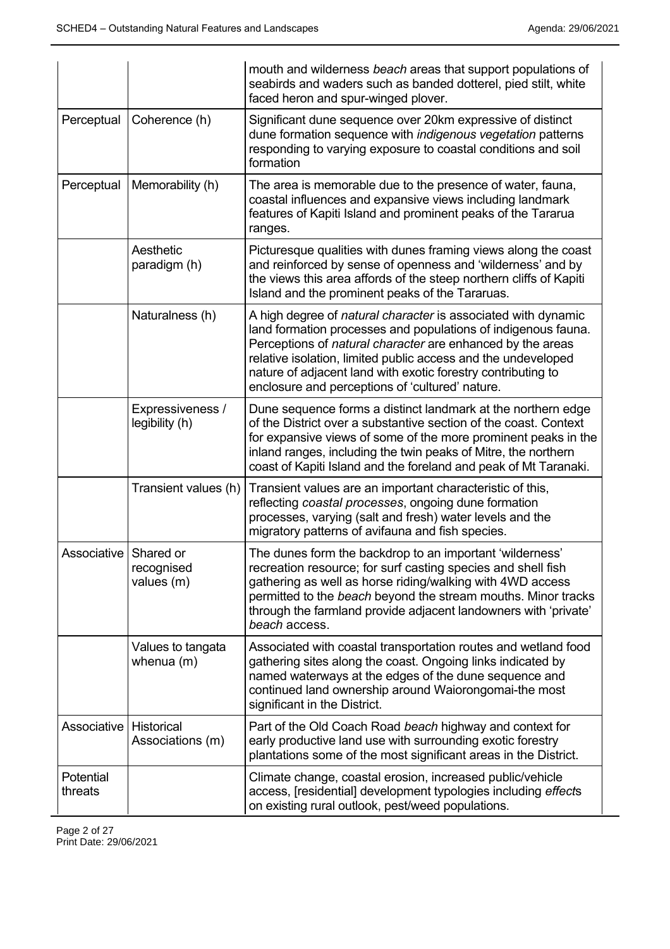|                       |                                       | mouth and wilderness beach areas that support populations of<br>seabirds and waders such as banded dotterel, pied stilt, white<br>faced heron and spur-winged plover.                                                                                                                                                                                                            |
|-----------------------|---------------------------------------|----------------------------------------------------------------------------------------------------------------------------------------------------------------------------------------------------------------------------------------------------------------------------------------------------------------------------------------------------------------------------------|
| Perceptual            | Coherence (h)                         | Significant dune sequence over 20km expressive of distinct<br>dune formation sequence with indigenous vegetation patterns<br>responding to varying exposure to coastal conditions and soil<br>formation                                                                                                                                                                          |
| Perceptual            | Memorability (h)                      | The area is memorable due to the presence of water, fauna,<br>coastal influences and expansive views including landmark<br>features of Kapiti Island and prominent peaks of the Tararua<br>ranges.                                                                                                                                                                               |
|                       | Aesthetic<br>paradigm (h)             | Picturesque qualities with dunes framing views along the coast<br>and reinforced by sense of openness and 'wilderness' and by<br>the views this area affords of the steep northern cliffs of Kapiti<br>Island and the prominent peaks of the Tararuas.                                                                                                                           |
|                       | Naturalness (h)                       | A high degree of natural character is associated with dynamic<br>land formation processes and populations of indigenous fauna.<br>Perceptions of natural character are enhanced by the areas<br>relative isolation, limited public access and the undeveloped<br>nature of adjacent land with exotic forestry contributing to<br>enclosure and perceptions of 'cultured' nature. |
|                       | Expressiveness /<br>legibility (h)    | Dune sequence forms a distinct landmark at the northern edge<br>of the District over a substantive section of the coast. Context<br>for expansive views of some of the more prominent peaks in the<br>inland ranges, including the twin peaks of Mitre, the northern<br>coast of Kapiti Island and the foreland and peak of Mt Taranaki.                                         |
|                       | Transient values (h)                  | Transient values are an important characteristic of this,<br>reflecting coastal processes, ongoing dune formation<br>processes, varying (salt and fresh) water levels and the<br>migratory patterns of avifauna and fish species.                                                                                                                                                |
| Associative Shared or | recognised<br>values (m)              | The dunes form the backdrop to an important 'wilderness'<br>recreation resource; for surf casting species and shell fish<br>gathering as well as horse riding/walking with 4WD access<br>permitted to the beach beyond the stream mouths. Minor tracks<br>through the farmland provide adjacent landowners with 'private'<br>beach access.                                       |
|                       | Values to tangata<br>whenua $(m)$     | Associated with coastal transportation routes and wetland food<br>gathering sites along the coast. Ongoing links indicated by<br>named waterways at the edges of the dune sequence and<br>continued land ownership around Waiorongomai-the most<br>significant in the District.                                                                                                  |
| Associative           | <b>Historical</b><br>Associations (m) | Part of the Old Coach Road beach highway and context for<br>early productive land use with surrounding exotic forestry<br>plantations some of the most significant areas in the District.                                                                                                                                                                                        |
| Potential<br>threats  |                                       | Climate change, coastal erosion, increased public/vehicle<br>access, [residential] development typologies including effects<br>on existing rural outlook, pest/weed populations.                                                                                                                                                                                                 |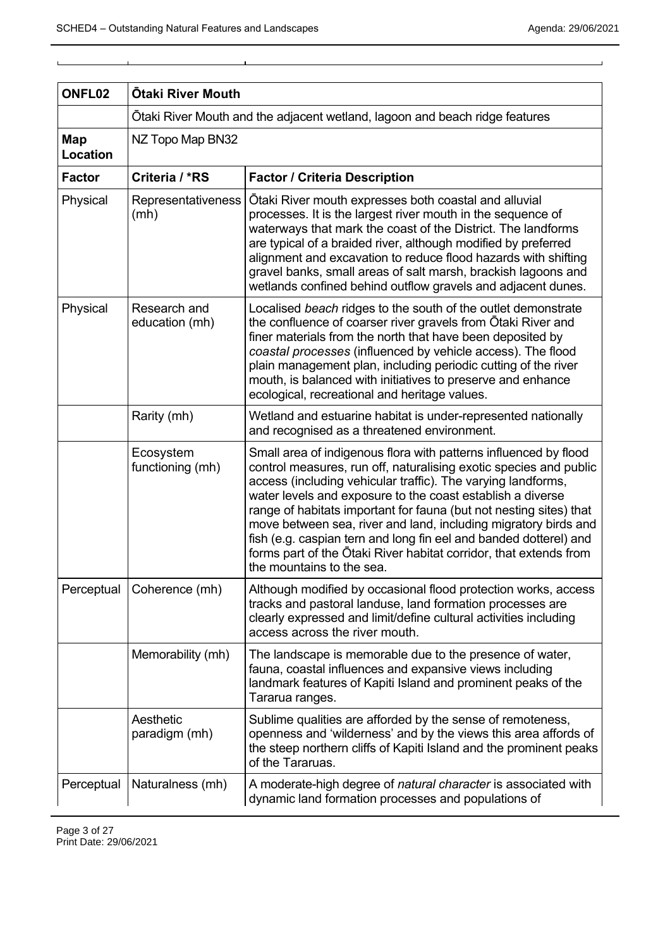| ONFL <sub>02</sub> | <b>Otaki River Mouth</b>                                                    |                                                                                                                                                                                                                                                                                                                                                                                                                                                                                                                                                                                     |
|--------------------|-----------------------------------------------------------------------------|-------------------------------------------------------------------------------------------------------------------------------------------------------------------------------------------------------------------------------------------------------------------------------------------------------------------------------------------------------------------------------------------------------------------------------------------------------------------------------------------------------------------------------------------------------------------------------------|
|                    | Ōtaki River Mouth and the adjacent wetland, lagoon and beach ridge features |                                                                                                                                                                                                                                                                                                                                                                                                                                                                                                                                                                                     |
| Map<br>Location    | NZ Topo Map BN32                                                            |                                                                                                                                                                                                                                                                                                                                                                                                                                                                                                                                                                                     |
| <b>Factor</b>      | Criteria / *RS                                                              | <b>Factor / Criteria Description</b>                                                                                                                                                                                                                                                                                                                                                                                                                                                                                                                                                |
| Physical           | Representativeness<br>(mh)                                                  | Otaki River mouth expresses both coastal and alluvial<br>processes. It is the largest river mouth in the sequence of<br>waterways that mark the coast of the District. The landforms<br>are typical of a braided river, although modified by preferred<br>alignment and excavation to reduce flood hazards with shifting<br>gravel banks, small areas of salt marsh, brackish lagoons and<br>wetlands confined behind outflow gravels and adjacent dunes.                                                                                                                           |
| Physical           | Research and<br>education (mh)                                              | Localised beach ridges to the south of the outlet demonstrate<br>the confluence of coarser river gravels from Ōtaki River and<br>finer materials from the north that have been deposited by<br>coastal processes (influenced by vehicle access). The flood<br>plain management plan, including periodic cutting of the river<br>mouth, is balanced with initiatives to preserve and enhance<br>ecological, recreational and heritage values.                                                                                                                                        |
|                    | Rarity (mh)                                                                 | Wetland and estuarine habitat is under-represented nationally<br>and recognised as a threatened environment.                                                                                                                                                                                                                                                                                                                                                                                                                                                                        |
|                    | Ecosystem<br>functioning (mh)                                               | Small area of indigenous flora with patterns influenced by flood<br>control measures, run off, naturalising exotic species and public<br>access (including vehicular traffic). The varying landforms,<br>water levels and exposure to the coast establish a diverse<br>range of habitats important for fauna (but not nesting sites) that<br>move between sea, river and land, including migratory birds and<br>fish (e.g. caspian tern and long fin eel and banded dotterel) and<br>forms part of the Otaki River habitat corridor, that extends from<br>the mountains to the sea. |
| Perceptual         | Coherence (mh)                                                              | Although modified by occasional flood protection works, access<br>tracks and pastoral landuse, land formation processes are<br>clearly expressed and limit/define cultural activities including<br>access across the river mouth.                                                                                                                                                                                                                                                                                                                                                   |
|                    | Memorability (mh)                                                           | The landscape is memorable due to the presence of water,<br>fauna, coastal influences and expansive views including<br>landmark features of Kapiti Island and prominent peaks of the<br>Tararua ranges.                                                                                                                                                                                                                                                                                                                                                                             |
|                    | Aesthetic<br>paradigm (mh)                                                  | Sublime qualities are afforded by the sense of remoteness,<br>openness and 'wilderness' and by the views this area affords of<br>the steep northern cliffs of Kapiti Island and the prominent peaks<br>of the Tararuas.                                                                                                                                                                                                                                                                                                                                                             |
| Perceptual         | Naturalness (mh)                                                            | A moderate-high degree of natural character is associated with<br>dynamic land formation processes and populations of                                                                                                                                                                                                                                                                                                                                                                                                                                                               |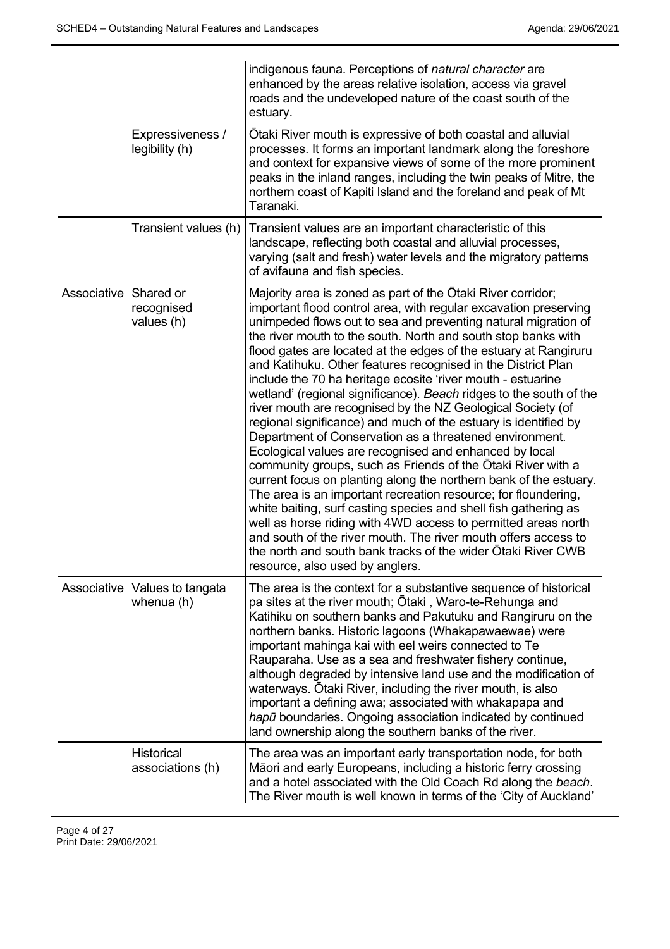|                         |                                               | indigenous fauna. Perceptions of natural character are<br>enhanced by the areas relative isolation, access via gravel<br>roads and the undeveloped nature of the coast south of the<br>estuary.                                                                                                                                                                                                                                                                                                                                                                                                                                                                                                                                                                                                                                                                                                                                                                                                                                                                                                                                                                                                                                                                                                                   |
|-------------------------|-----------------------------------------------|-------------------------------------------------------------------------------------------------------------------------------------------------------------------------------------------------------------------------------------------------------------------------------------------------------------------------------------------------------------------------------------------------------------------------------------------------------------------------------------------------------------------------------------------------------------------------------------------------------------------------------------------------------------------------------------------------------------------------------------------------------------------------------------------------------------------------------------------------------------------------------------------------------------------------------------------------------------------------------------------------------------------------------------------------------------------------------------------------------------------------------------------------------------------------------------------------------------------------------------------------------------------------------------------------------------------|
|                         | Expressiveness /<br>legibility (h)            | Otaki River mouth is expressive of both coastal and alluvial<br>processes. It forms an important landmark along the foreshore<br>and context for expansive views of some of the more prominent<br>peaks in the inland ranges, including the twin peaks of Mitre, the<br>northern coast of Kapiti Island and the foreland and peak of Mt<br>Taranaki.                                                                                                                                                                                                                                                                                                                                                                                                                                                                                                                                                                                                                                                                                                                                                                                                                                                                                                                                                              |
|                         | Transient values (h)                          | Transient values are an important characteristic of this<br>landscape, reflecting both coastal and alluvial processes,<br>varying (salt and fresh) water levels and the migratory patterns<br>of avifauna and fish species.                                                                                                                                                                                                                                                                                                                                                                                                                                                                                                                                                                                                                                                                                                                                                                                                                                                                                                                                                                                                                                                                                       |
| Associative   Shared or | recognised<br>values (h)                      | Majority area is zoned as part of the Otaki River corridor;<br>important flood control area, with regular excavation preserving<br>unimpeded flows out to sea and preventing natural migration of<br>the river mouth to the south. North and south stop banks with<br>flood gates are located at the edges of the estuary at Rangiruru<br>and Katihuku. Other features recognised in the District Plan<br>include the 70 ha heritage ecosite 'river mouth - estuarine<br>wetland' (regional significance). Beach ridges to the south of the<br>river mouth are recognised by the NZ Geological Society (of<br>regional significance) and much of the estuary is identified by<br>Department of Conservation as a threatened environment.<br>Ecological values are recognised and enhanced by local<br>community groups, such as Friends of the Otaki River with a<br>current focus on planting along the northern bank of the estuary.<br>The area is an important recreation resource; for floundering,<br>white baiting, surf casting species and shell fish gathering as<br>well as horse riding with 4WD access to permitted areas north<br>and south of the river mouth. The river mouth offers access to<br>the north and south bank tracks of the wider Otaki River CWB<br>resource, also used by anglers. |
|                         | Associative   Values to tangata<br>whenua (h) | The area is the context for a substantive sequence of historical<br>pa sites at the river mouth; Ōtaki , Waro-te-Rehunga and<br>Katihiku on southern banks and Pakutuku and Rangiruru on the<br>northern banks. Historic lagoons (Whakapawaewae) were<br>important mahinga kai with eel weirs connected to Te<br>Rauparaha. Use as a sea and freshwater fishery continue,<br>although degraded by intensive land use and the modification of<br>waterways. Otaki River, including the river mouth, is also<br>important a defining awa; associated with whakapapa and<br>hapū boundaries. Ongoing association indicated by continued<br>land ownership along the southern banks of the river.                                                                                                                                                                                                                                                                                                                                                                                                                                                                                                                                                                                                                     |
|                         | <b>Historical</b><br>associations (h)         | The area was an important early transportation node, for both<br>Māori and early Europeans, including a historic ferry crossing<br>and a hotel associated with the Old Coach Rd along the beach.<br>The River mouth is well known in terms of the 'City of Auckland'                                                                                                                                                                                                                                                                                                                                                                                                                                                                                                                                                                                                                                                                                                                                                                                                                                                                                                                                                                                                                                              |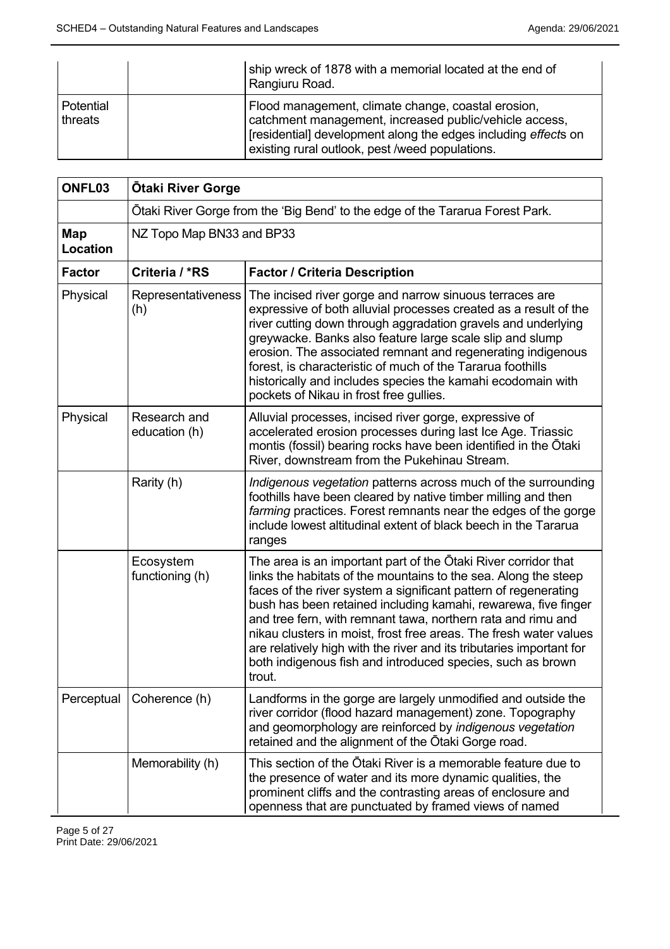|                      | ship wreck of 1878 with a memorial located at the end of<br>Rangiuru Road.                                                                                                                                                        |
|----------------------|-----------------------------------------------------------------------------------------------------------------------------------------------------------------------------------------------------------------------------------|
| Potential<br>threats | Flood management, climate change, coastal erosion,<br>catchment management, increased public/vehicle access,<br>[residential] development along the edges including effects on<br>existing rural outlook, pest /weed populations. |

| ONFL03          | <b>Otaki River Gorge</b>                                                      |                                                                                                                                                                                                                                                                                                                                                                                                                                                                                                                                                             |
|-----------------|-------------------------------------------------------------------------------|-------------------------------------------------------------------------------------------------------------------------------------------------------------------------------------------------------------------------------------------------------------------------------------------------------------------------------------------------------------------------------------------------------------------------------------------------------------------------------------------------------------------------------------------------------------|
|                 | Ōtaki River Gorge from the 'Big Bend' to the edge of the Tararua Forest Park. |                                                                                                                                                                                                                                                                                                                                                                                                                                                                                                                                                             |
| Map<br>Location | NZ Topo Map BN33 and BP33                                                     |                                                                                                                                                                                                                                                                                                                                                                                                                                                                                                                                                             |
| <b>Factor</b>   | Criteria / *RS                                                                | <b>Factor / Criteria Description</b>                                                                                                                                                                                                                                                                                                                                                                                                                                                                                                                        |
| Physical        | <b>Representativeness</b><br>(h)                                              | The incised river gorge and narrow sinuous terraces are<br>expressive of both alluvial processes created as a result of the<br>river cutting down through aggradation gravels and underlying<br>greywacke. Banks also feature large scale slip and slump<br>erosion. The associated remnant and regenerating indigenous<br>forest, is characteristic of much of the Tararua foothills<br>historically and includes species the kamahi ecodomain with<br>pockets of Nikau in frost free gullies.                                                             |
| Physical        | Research and<br>education (h)                                                 | Alluvial processes, incised river gorge, expressive of<br>accelerated erosion processes during last Ice Age. Triassic<br>montis (fossil) bearing rocks have been identified in the Otaki<br>River, downstream from the Pukehinau Stream.                                                                                                                                                                                                                                                                                                                    |
|                 | Rarity (h)                                                                    | Indigenous vegetation patterns across much of the surrounding<br>foothills have been cleared by native timber milling and then<br>farming practices. Forest remnants near the edges of the gorge<br>include lowest altitudinal extent of black beech in the Tararua<br>ranges                                                                                                                                                                                                                                                                               |
|                 | Ecosystem<br>functioning (h)                                                  | The area is an important part of the Otaki River corridor that<br>links the habitats of the mountains to the sea. Along the steep<br>faces of the river system a significant pattern of regenerating<br>bush has been retained including kamahi, rewarewa, five finger<br>and tree fern, with remnant tawa, northern rata and rimu and<br>nikau clusters in moist, frost free areas. The fresh water values<br>are relatively high with the river and its tributaries important for<br>both indigenous fish and introduced species, such as brown<br>trout. |
| Perceptual      | Coherence (h)                                                                 | Landforms in the gorge are largely unmodified and outside the<br>river corridor (flood hazard management) zone. Topography<br>and geomorphology are reinforced by indigenous vegetation<br>retained and the alignment of the Otaki Gorge road.                                                                                                                                                                                                                                                                                                              |
|                 | Memorability (h)                                                              | This section of the Ōtaki River is a memorable feature due to<br>the presence of water and its more dynamic qualities, the<br>prominent cliffs and the contrasting areas of enclosure and<br>openness that are punctuated by framed views of named                                                                                                                                                                                                                                                                                                          |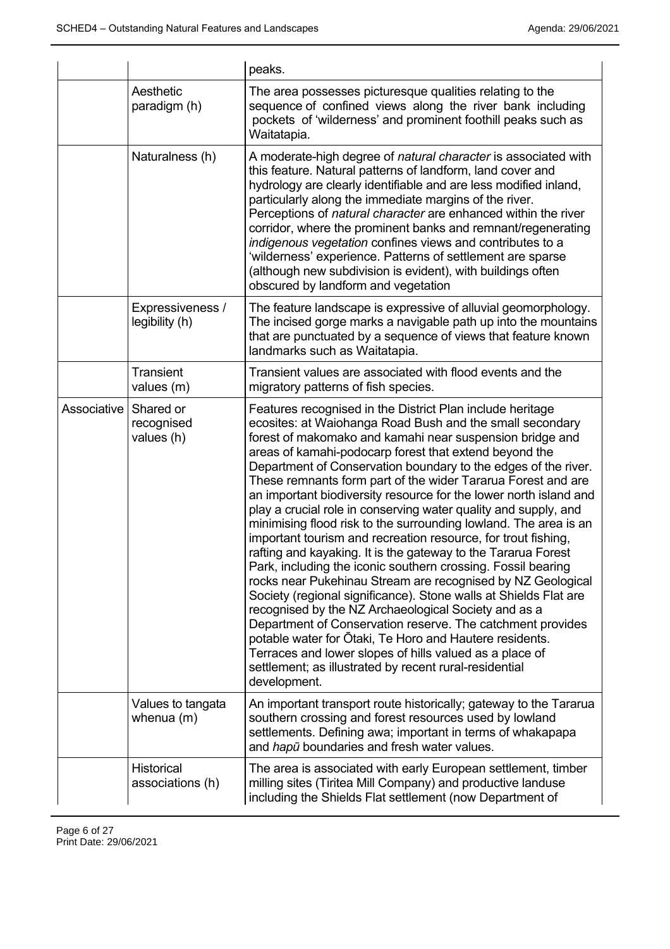|             |                                       | peaks.                                                                                                                                                                                                                                                                                                                                                                                                                                                                                                                                                                                                                                                                                                                                                                                                                                                                                                                                                                                                                                                                                                                                                                                                                                               |
|-------------|---------------------------------------|------------------------------------------------------------------------------------------------------------------------------------------------------------------------------------------------------------------------------------------------------------------------------------------------------------------------------------------------------------------------------------------------------------------------------------------------------------------------------------------------------------------------------------------------------------------------------------------------------------------------------------------------------------------------------------------------------------------------------------------------------------------------------------------------------------------------------------------------------------------------------------------------------------------------------------------------------------------------------------------------------------------------------------------------------------------------------------------------------------------------------------------------------------------------------------------------------------------------------------------------------|
|             | Aesthetic<br>paradigm (h)             | The area possesses picturesque qualities relating to the<br>sequence of confined views along the river bank including<br>pockets of 'wilderness' and prominent foothill peaks such as<br>Waitatapia.                                                                                                                                                                                                                                                                                                                                                                                                                                                                                                                                                                                                                                                                                                                                                                                                                                                                                                                                                                                                                                                 |
|             | Naturalness (h)                       | A moderate-high degree of natural character is associated with<br>this feature. Natural patterns of landform, land cover and<br>hydrology are clearly identifiable and are less modified inland,<br>particularly along the immediate margins of the river.<br>Perceptions of natural character are enhanced within the river<br>corridor, where the prominent banks and remnant/regenerating<br>indigenous vegetation confines views and contributes to a<br>'wilderness' experience. Patterns of settlement are sparse<br>(although new subdivision is evident), with buildings often<br>obscured by landform and vegetation                                                                                                                                                                                                                                                                                                                                                                                                                                                                                                                                                                                                                        |
|             | Expressiveness /<br>legibility (h)    | The feature landscape is expressive of alluvial geomorphology.<br>The incised gorge marks a navigable path up into the mountains<br>that are punctuated by a sequence of views that feature known<br>landmarks such as Waitatapia.                                                                                                                                                                                                                                                                                                                                                                                                                                                                                                                                                                                                                                                                                                                                                                                                                                                                                                                                                                                                                   |
|             | <b>Transient</b><br>values (m)        | Transient values are associated with flood events and the<br>migratory patterns of fish species.                                                                                                                                                                                                                                                                                                                                                                                                                                                                                                                                                                                                                                                                                                                                                                                                                                                                                                                                                                                                                                                                                                                                                     |
| Associative | Shared or<br>recognised<br>values (h) | Features recognised in the District Plan include heritage<br>ecosites: at Waiohanga Road Bush and the small secondary<br>forest of makomako and kamahi near suspension bridge and<br>areas of kamahi-podocarp forest that extend beyond the<br>Department of Conservation boundary to the edges of the river.<br>These remnants form part of the wider Tararua Forest and are<br>an important biodiversity resource for the lower north island and<br>play a crucial role in conserving water quality and supply, and<br>minimising flood risk to the surrounding lowland. The area is an<br>important tourism and recreation resource, for trout fishing,<br>rafting and kayaking. It is the gateway to the Tararua Forest<br>Park, including the iconic southern crossing. Fossil bearing<br>rocks near Pukehinau Stream are recognised by NZ Geological<br>Society (regional significance). Stone walls at Shields Flat are<br>recognised by the NZ Archaeological Society and as a<br>Department of Conservation reserve. The catchment provides<br>potable water for Otaki, Te Horo and Hautere residents.<br>Terraces and lower slopes of hills valued as a place of<br>settlement; as illustrated by recent rural-residential<br>development. |
|             | Values to tangata<br>whenua (m)       | An important transport route historically; gateway to the Tararua<br>southern crossing and forest resources used by lowland<br>settlements. Defining awa; important in terms of whakapapa<br>and hapu boundaries and fresh water values.                                                                                                                                                                                                                                                                                                                                                                                                                                                                                                                                                                                                                                                                                                                                                                                                                                                                                                                                                                                                             |
|             | Historical<br>associations (h)        | The area is associated with early European settlement, timber<br>milling sites (Tiritea Mill Company) and productive landuse<br>including the Shields Flat settlement (now Department of                                                                                                                                                                                                                                                                                                                                                                                                                                                                                                                                                                                                                                                                                                                                                                                                                                                                                                                                                                                                                                                             |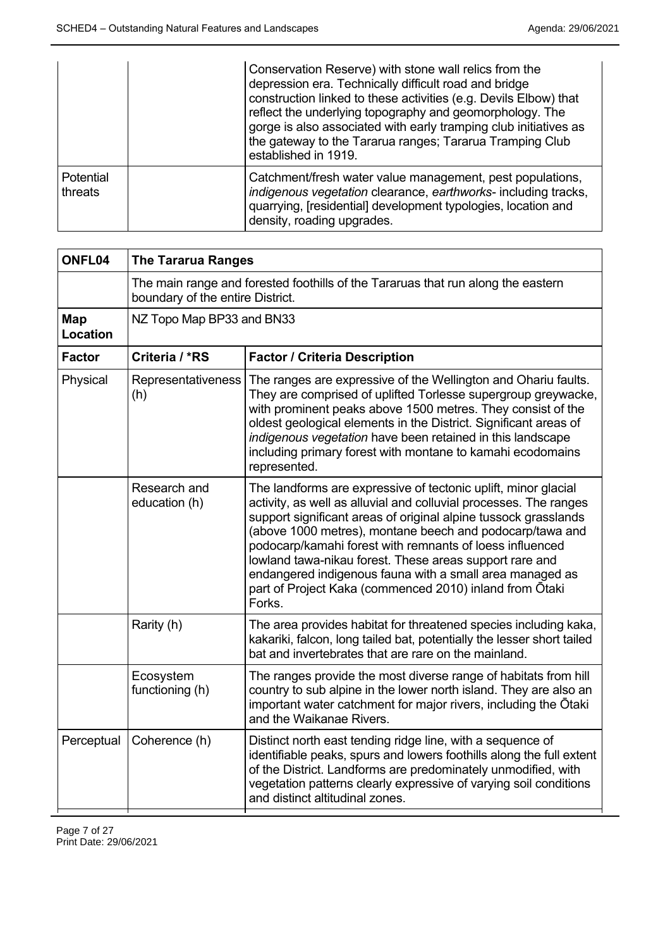|                      | Conservation Reserve) with stone wall relics from the<br>depression era. Technically difficult road and bridge<br>construction linked to these activities (e.g. Devils Elbow) that<br>reflect the underlying topography and geomorphology. The<br>gorge is also associated with early tramping club initiatives as<br>the gateway to the Tararua ranges; Tararua Tramping Club<br>established in 1919. |
|----------------------|--------------------------------------------------------------------------------------------------------------------------------------------------------------------------------------------------------------------------------------------------------------------------------------------------------------------------------------------------------------------------------------------------------|
| Potential<br>threats | Catchment/fresh water value management, pest populations,<br>indigenous vegetation clearance, earthworks- including tracks,<br>quarrying, [residential] development typologies, location and<br>density, roading upgrades.                                                                                                                                                                             |

| <b>The Tararua Ranges</b>                                                                                            |                                                                                                                                                                                                                                                                                                                                                                                                                                                                                                                            |
|----------------------------------------------------------------------------------------------------------------------|----------------------------------------------------------------------------------------------------------------------------------------------------------------------------------------------------------------------------------------------------------------------------------------------------------------------------------------------------------------------------------------------------------------------------------------------------------------------------------------------------------------------------|
| The main range and forested foothills of the Tararuas that run along the eastern<br>boundary of the entire District. |                                                                                                                                                                                                                                                                                                                                                                                                                                                                                                                            |
| NZ Topo Map BP33 and BN33                                                                                            |                                                                                                                                                                                                                                                                                                                                                                                                                                                                                                                            |
| Criteria / *RS                                                                                                       | <b>Factor / Criteria Description</b>                                                                                                                                                                                                                                                                                                                                                                                                                                                                                       |
| Representativeness<br>(h)                                                                                            | The ranges are expressive of the Wellington and Ohariu faults.<br>They are comprised of uplifted Torlesse supergroup greywacke,<br>with prominent peaks above 1500 metres. They consist of the<br>oldest geological elements in the District. Significant areas of<br>indigenous vegetation have been retained in this landscape<br>including primary forest with montane to kamahi ecodomains<br>represented.                                                                                                             |
| Research and<br>education (h)                                                                                        | The landforms are expressive of tectonic uplift, minor glacial<br>activity, as well as alluvial and colluvial processes. The ranges<br>support significant areas of original alpine tussock grasslands<br>(above 1000 metres), montane beech and podocarp/tawa and<br>podocarp/kamahi forest with remnants of loess influenced<br>lowland tawa-nikau forest. These areas support rare and<br>endangered indigenous fauna with a small area managed as<br>part of Project Kaka (commenced 2010) inland from Ōtaki<br>Forks. |
| Rarity (h)                                                                                                           | The area provides habitat for threatened species including kaka,<br>kakariki, falcon, long tailed bat, potentially the lesser short tailed<br>bat and invertebrates that are rare on the mainland.                                                                                                                                                                                                                                                                                                                         |
| Ecosystem<br>functioning (h)                                                                                         | The ranges provide the most diverse range of habitats from hill<br>country to sub alpine in the lower north island. They are also an<br>important water catchment for major rivers, including the Otaki<br>and the Waikanae Rivers.                                                                                                                                                                                                                                                                                        |
| Coherence (h)                                                                                                        | Distinct north east tending ridge line, with a sequence of<br>identifiable peaks, spurs and lowers foothills along the full extent<br>of the District. Landforms are predominately unmodified, with<br>vegetation patterns clearly expressive of varying soil conditions<br>and distinct altitudinal zones.                                                                                                                                                                                                                |
|                                                                                                                      |                                                                                                                                                                                                                                                                                                                                                                                                                                                                                                                            |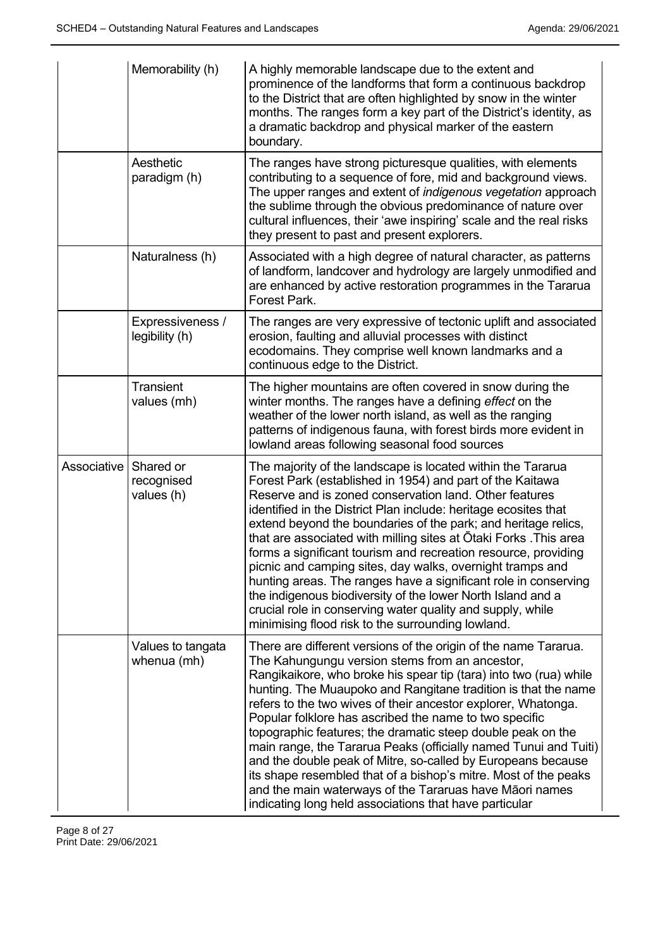|             | Memorability (h)                      | A highly memorable landscape due to the extent and<br>prominence of the landforms that form a continuous backdrop<br>to the District that are often highlighted by snow in the winter<br>months. The ranges form a key part of the District's identity, as<br>a dramatic backdrop and physical marker of the eastern<br>boundary.                                                                                                                                                                                                                                                                                                                                                                                                                                                |
|-------------|---------------------------------------|----------------------------------------------------------------------------------------------------------------------------------------------------------------------------------------------------------------------------------------------------------------------------------------------------------------------------------------------------------------------------------------------------------------------------------------------------------------------------------------------------------------------------------------------------------------------------------------------------------------------------------------------------------------------------------------------------------------------------------------------------------------------------------|
|             | Aesthetic<br>paradigm (h)             | The ranges have strong picturesque qualities, with elements<br>contributing to a sequence of fore, mid and background views.<br>The upper ranges and extent of indigenous vegetation approach<br>the sublime through the obvious predominance of nature over<br>cultural influences, their 'awe inspiring' scale and the real risks<br>they present to past and present explorers.                                                                                                                                                                                                                                                                                                                                                                                               |
|             | Naturalness (h)                       | Associated with a high degree of natural character, as patterns<br>of landform, landcover and hydrology are largely unmodified and<br>are enhanced by active restoration programmes in the Tararua<br>Forest Park.                                                                                                                                                                                                                                                                                                                                                                                                                                                                                                                                                               |
|             | Expressiveness /<br>legibility (h)    | The ranges are very expressive of tectonic uplift and associated<br>erosion, faulting and alluvial processes with distinct<br>ecodomains. They comprise well known landmarks and a<br>continuous edge to the District.                                                                                                                                                                                                                                                                                                                                                                                                                                                                                                                                                           |
|             | Transient<br>values (mh)              | The higher mountains are often covered in snow during the<br>winter months. The ranges have a defining effect on the<br>weather of the lower north island, as well as the ranging<br>patterns of indigenous fauna, with forest birds more evident in<br>lowland areas following seasonal food sources                                                                                                                                                                                                                                                                                                                                                                                                                                                                            |
| Associative | Shared or<br>recognised<br>values (h) | The majority of the landscape is located within the Tararua<br>Forest Park (established in 1954) and part of the Kaitawa<br>Reserve and is zoned conservation land. Other features<br>identified in the District Plan include: heritage ecosites that<br>extend beyond the boundaries of the park; and heritage relics,<br>that are associated with milling sites at Otaki Forks . This area<br>forms a significant tourism and recreation resource, providing<br>picnic and camping sites, day walks, overnight tramps and<br>hunting areas. The ranges have a significant role in conserving<br>the indigenous biodiversity of the lower North Island and a<br>crucial role in conserving water quality and supply, while<br>minimising flood risk to the surrounding lowland. |
|             | Values to tangata<br>whenua (mh)      | There are different versions of the origin of the name Tararua.<br>The Kahungungu version stems from an ancestor,<br>Rangikaikore, who broke his spear tip (tara) into two (rua) while<br>hunting. The Muaupoko and Rangitane tradition is that the name<br>refers to the two wives of their ancestor explorer, Whatonga.<br>Popular folklore has ascribed the name to two specific<br>topographic features; the dramatic steep double peak on the<br>main range, the Tararua Peaks (officially named Tunui and Tuiti)<br>and the double peak of Mitre, so-called by Europeans because<br>its shape resembled that of a bishop's mitre. Most of the peaks<br>and the main waterways of the Tararuas have Māori names<br>indicating long held associations that have particular   |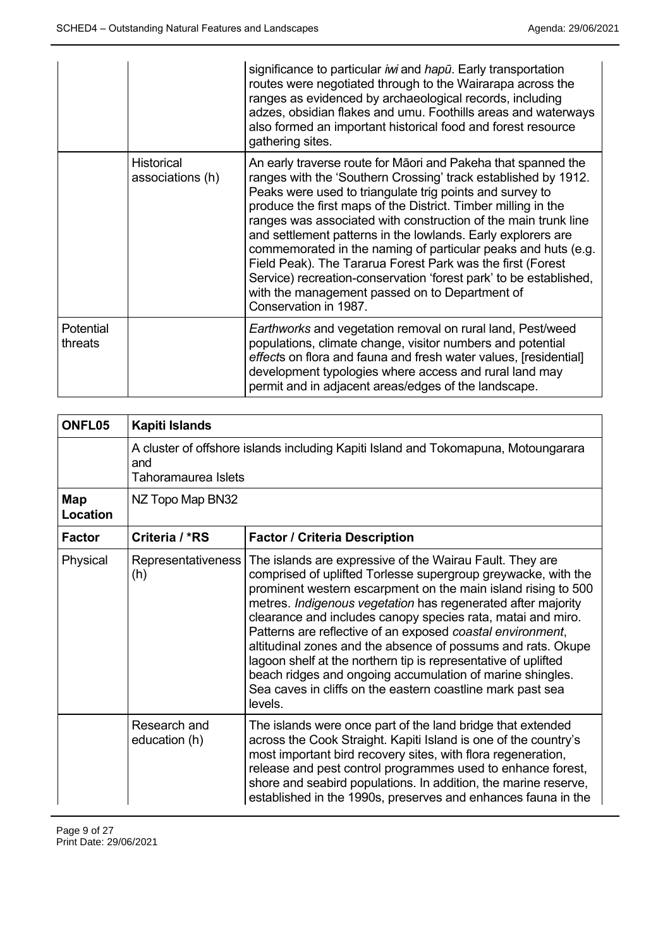|                      |                                       | significance to particular iwi and hapu. Early transportation<br>routes were negotiated through to the Wairarapa across the<br>ranges as evidenced by archaeological records, including<br>adzes, obsidian flakes and umu. Foothills areas and waterways<br>also formed an important historical food and forest resource<br>gathering sites.                                                                                                                                                                                                                                                                                                                                  |
|----------------------|---------------------------------------|-------------------------------------------------------------------------------------------------------------------------------------------------------------------------------------------------------------------------------------------------------------------------------------------------------------------------------------------------------------------------------------------------------------------------------------------------------------------------------------------------------------------------------------------------------------------------------------------------------------------------------------------------------------------------------|
|                      | <b>Historical</b><br>associations (h) | An early traverse route for Māori and Pakeha that spanned the<br>ranges with the 'Southern Crossing' track established by 1912.<br>Peaks were used to triangulate trig points and survey to<br>produce the first maps of the District. Timber milling in the<br>ranges was associated with construction of the main trunk line<br>and settlement patterns in the lowlands. Early explorers are<br>commemorated in the naming of particular peaks and huts (e.g.<br>Field Peak). The Tararua Forest Park was the first (Forest<br>Service) recreation-conservation 'forest park' to be established,<br>with the management passed on to Department of<br>Conservation in 1987. |
| Potential<br>threats |                                       | Earthworks and vegetation removal on rural land, Pest/weed<br>populations, climate change, visitor numbers and potential<br>effects on flora and fauna and fresh water values, [residential]<br>development typologies where access and rural land may<br>permit and in adjacent areas/edges of the landscape.                                                                                                                                                                                                                                                                                                                                                                |

| ONFL05          | Kapiti Islands                                                                                                   |                                                                                                                                                                                                                                                                                                                                                                                                                                                                                                                                                                                                                                                                 |
|-----------------|------------------------------------------------------------------------------------------------------------------|-----------------------------------------------------------------------------------------------------------------------------------------------------------------------------------------------------------------------------------------------------------------------------------------------------------------------------------------------------------------------------------------------------------------------------------------------------------------------------------------------------------------------------------------------------------------------------------------------------------------------------------------------------------------|
|                 | A cluster of offshore islands including Kapiti Island and Tokomapuna, Motoungarara<br>and<br>Tahoramaurea Islets |                                                                                                                                                                                                                                                                                                                                                                                                                                                                                                                                                                                                                                                                 |
| Map<br>Location | NZ Topo Map BN32                                                                                                 |                                                                                                                                                                                                                                                                                                                                                                                                                                                                                                                                                                                                                                                                 |
| <b>Factor</b>   | Criteria / *RS                                                                                                   | <b>Factor / Criteria Description</b>                                                                                                                                                                                                                                                                                                                                                                                                                                                                                                                                                                                                                            |
| Physical        | Representativeness<br>(h)                                                                                        | The islands are expressive of the Wairau Fault. They are<br>comprised of uplifted Torlesse supergroup greywacke, with the<br>prominent western escarpment on the main island rising to 500<br>metres. Indigenous vegetation has regenerated after majority<br>clearance and includes canopy species rata, matai and miro.<br>Patterns are reflective of an exposed coastal environment,<br>altitudinal zones and the absence of possums and rats. Okupe<br>lagoon shelf at the northern tip is representative of uplifted<br>beach ridges and ongoing accumulation of marine shingles.<br>Sea caves in cliffs on the eastern coastline mark past sea<br>levels. |
|                 | Research and<br>education (h)                                                                                    | The islands were once part of the land bridge that extended<br>across the Cook Straight. Kapiti Island is one of the country's<br>most important bird recovery sites, with flora regeneration,<br>release and pest control programmes used to enhance forest,<br>shore and seabird populations. In addition, the marine reserve,<br>established in the 1990s, preserves and enhances fauna in the                                                                                                                                                                                                                                                               |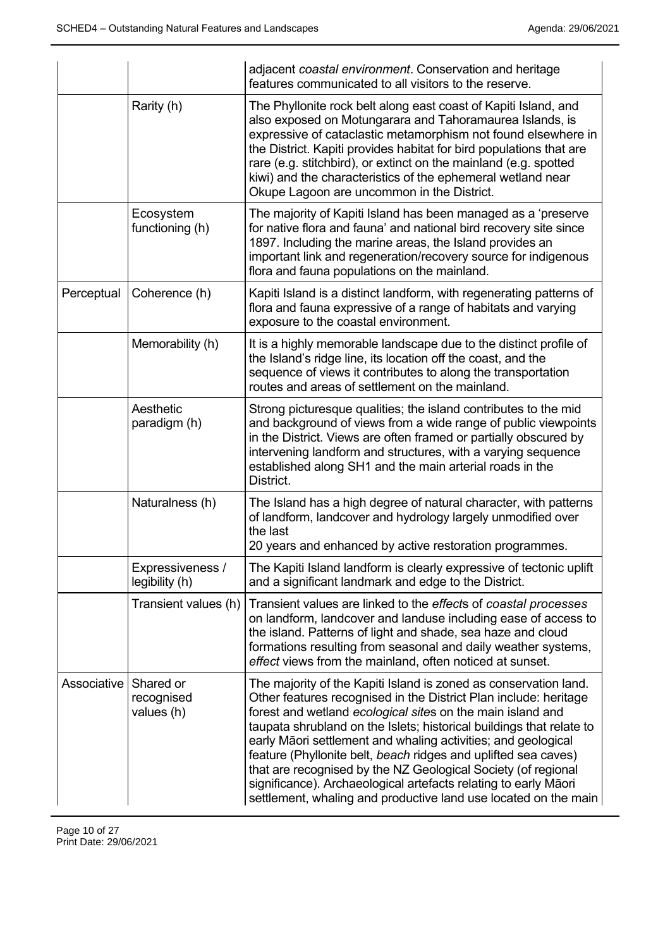|             |                                       | adjacent coastal environment. Conservation and heritage<br>features communicated to all visitors to the reserve.                                                                                                                                                                                                                                                                                                                                                                                                                                                                                                     |
|-------------|---------------------------------------|----------------------------------------------------------------------------------------------------------------------------------------------------------------------------------------------------------------------------------------------------------------------------------------------------------------------------------------------------------------------------------------------------------------------------------------------------------------------------------------------------------------------------------------------------------------------------------------------------------------------|
|             | Rarity (h)                            | The Phyllonite rock belt along east coast of Kapiti Island, and<br>also exposed on Motungarara and Tahoramaurea Islands, is<br>expressive of cataclastic metamorphism not found elsewhere in<br>the District. Kapiti provides habitat for bird populations that are<br>rare (e.g. stitchbird), or extinct on the mainland (e.g. spotted<br>kiwi) and the characteristics of the ephemeral wetland near<br>Okupe Lagoon are uncommon in the District.                                                                                                                                                                 |
|             | Ecosystem<br>functioning (h)          | The majority of Kapiti Island has been managed as a 'preserve<br>for native flora and fauna' and national bird recovery site since<br>1897. Including the marine areas, the Island provides an<br>important link and regeneration/recovery source for indigenous<br>flora and fauna populations on the mainland.                                                                                                                                                                                                                                                                                                     |
| Perceptual  | Coherence (h)                         | Kapiti Island is a distinct landform, with regenerating patterns of<br>flora and fauna expressive of a range of habitats and varying<br>exposure to the coastal environment.                                                                                                                                                                                                                                                                                                                                                                                                                                         |
|             | Memorability (h)                      | It is a highly memorable landscape due to the distinct profile of<br>the Island's ridge line, its location off the coast, and the<br>sequence of views it contributes to along the transportation<br>routes and areas of settlement on the mainland.                                                                                                                                                                                                                                                                                                                                                                 |
|             | Aesthetic<br>paradigm (h)             | Strong picturesque qualities; the island contributes to the mid<br>and background of views from a wide range of public viewpoints<br>in the District. Views are often framed or partially obscured by<br>intervening landform and structures, with a varying sequence<br>established along SH1 and the main arterial roads in the<br>District.                                                                                                                                                                                                                                                                       |
|             | Naturalness (h)                       | The Island has a high degree of natural character, with patterns<br>of landform, landcover and hydrology largely unmodified over<br>the last<br>20 years and enhanced by active restoration programmes.                                                                                                                                                                                                                                                                                                                                                                                                              |
|             | Expressiveness /<br>legibility (h)    | The Kapiti Island landform is clearly expressive of tectonic uplift<br>and a significant landmark and edge to the District.                                                                                                                                                                                                                                                                                                                                                                                                                                                                                          |
|             | Transient values (h)                  | Transient values are linked to the effects of coastal processes<br>on landform, landcover and landuse including ease of access to<br>the island. Patterns of light and shade, sea haze and cloud<br>formations resulting from seasonal and daily weather systems,<br>effect views from the mainland, often noticed at sunset.                                                                                                                                                                                                                                                                                        |
| Associative | Shared or<br>recognised<br>values (h) | The majority of the Kapiti Island is zoned as conservation land.<br>Other features recognised in the District Plan include: heritage<br>forest and wetland ecological sites on the main island and<br>taupata shrubland on the Islets; historical buildings that relate to<br>early Māori settlement and whaling activities; and geological<br>feature (Phyllonite belt, beach ridges and uplifted sea caves)<br>that are recognised by the NZ Geological Society (of regional<br>significance). Archaeological artefacts relating to early Māori<br>settlement, whaling and productive land use located on the main |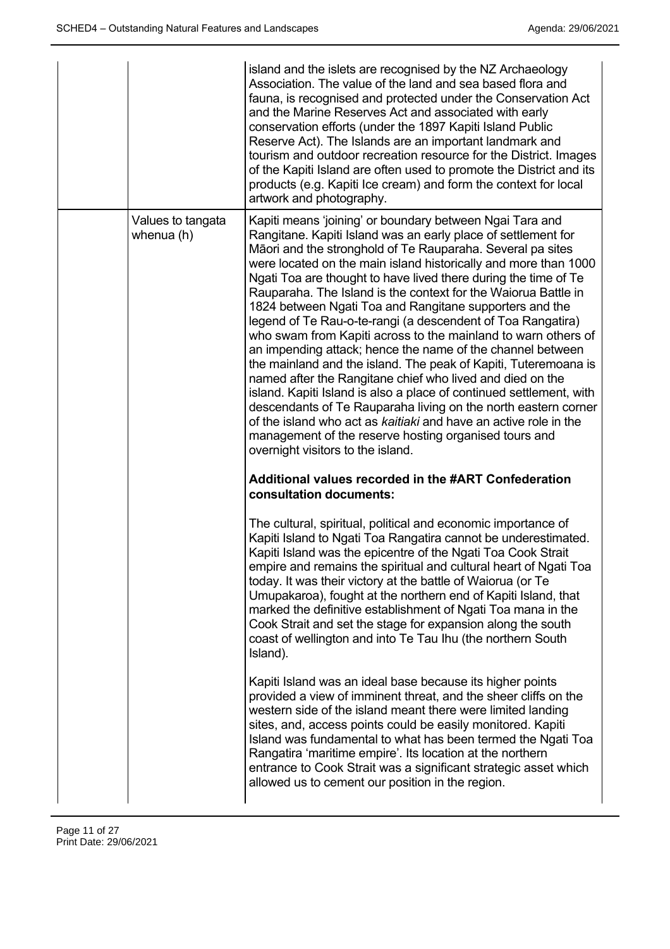|                                 | island and the islets are recognised by the NZ Archaeology<br>Association. The value of the land and sea based flora and<br>fauna, is recognised and protected under the Conservation Act<br>and the Marine Reserves Act and associated with early<br>conservation efforts (under the 1897 Kapiti Island Public<br>Reserve Act). The Islands are an important landmark and<br>tourism and outdoor recreation resource for the District. Images<br>of the Kapiti Island are often used to promote the District and its<br>products (e.g. Kapiti Ice cream) and form the context for local<br>artwork and photography.                                                                                                                                                                                                                                                                                                                                                                                                                                                                                |
|---------------------------------|-----------------------------------------------------------------------------------------------------------------------------------------------------------------------------------------------------------------------------------------------------------------------------------------------------------------------------------------------------------------------------------------------------------------------------------------------------------------------------------------------------------------------------------------------------------------------------------------------------------------------------------------------------------------------------------------------------------------------------------------------------------------------------------------------------------------------------------------------------------------------------------------------------------------------------------------------------------------------------------------------------------------------------------------------------------------------------------------------------|
| Values to tangata<br>whenua (h) | Kapiti means 'joining' or boundary between Ngai Tara and<br>Rangitane. Kapiti Island was an early place of settlement for<br>Māori and the stronghold of Te Rauparaha. Several pa sites<br>were located on the main island historically and more than 1000<br>Ngati Toa are thought to have lived there during the time of Te<br>Rauparaha. The Island is the context for the Waiorua Battle in<br>1824 between Ngati Toa and Rangitane supporters and the<br>legend of Te Rau-o-te-rangi (a descendent of Toa Rangatira)<br>who swam from Kapiti across to the mainland to warn others of<br>an impending attack; hence the name of the channel between<br>the mainland and the island. The peak of Kapiti, Tuteremoana is<br>named after the Rangitane chief who lived and died on the<br>island. Kapiti Island is also a place of continued settlement, with<br>descendants of Te Rauparaha living on the north eastern corner<br>of the island who act as kaitiaki and have an active role in the<br>management of the reserve hosting organised tours and<br>overnight visitors to the island. |
|                                 | <b>Additional values recorded in the #ART Confederation</b><br>consultation documents:                                                                                                                                                                                                                                                                                                                                                                                                                                                                                                                                                                                                                                                                                                                                                                                                                                                                                                                                                                                                              |
|                                 | The cultural, spiritual, political and economic importance of<br>Kapiti Island to Ngati Toa Rangatira cannot be underestimated.<br>Kapiti Island was the epicentre of the Ngati Toa Cook Strait<br>empire and remains the spiritual and cultural heart of Ngati Toa<br>today. It was their victory at the battle of Waiorua (or Te<br>Umupakaroa), fought at the northern end of Kapiti Island, that<br>marked the definitive establishment of Ngati Toa mana in the<br>Cook Strait and set the stage for expansion along the south<br>coast of wellington and into Te Tau Ihu (the northern South<br>Island).                                                                                                                                                                                                                                                                                                                                                                                                                                                                                      |
|                                 | Kapiti Island was an ideal base because its higher points<br>provided a view of imminent threat, and the sheer cliffs on the<br>western side of the island meant there were limited landing<br>sites, and, access points could be easily monitored. Kapiti<br>Island was fundamental to what has been termed the Ngati Toa<br>Rangatira 'maritime empire'. Its location at the northern<br>entrance to Cook Strait was a significant strategic asset which<br>allowed us to cement our position in the region.                                                                                                                                                                                                                                                                                                                                                                                                                                                                                                                                                                                      |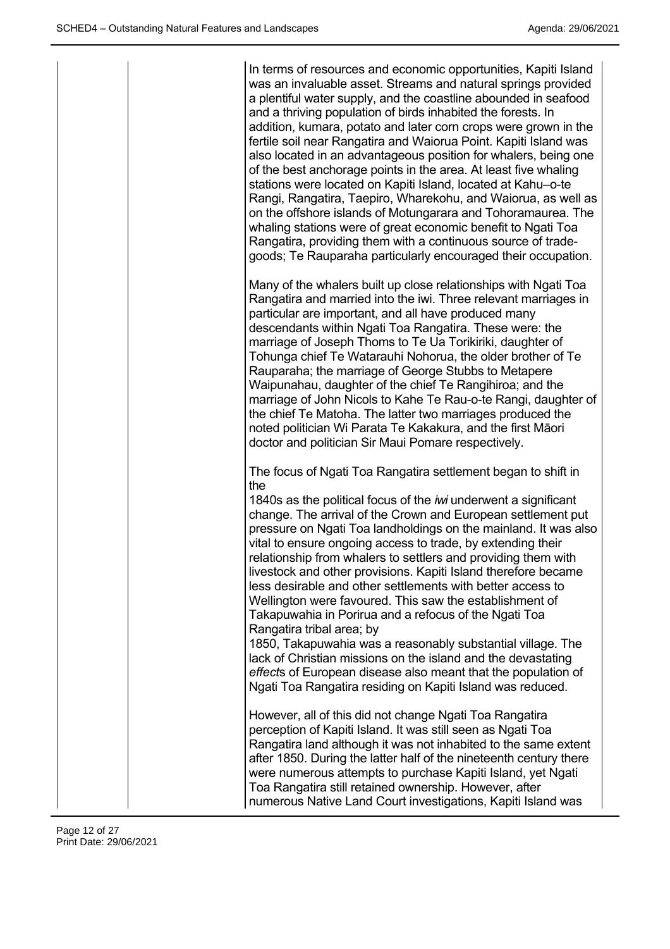|  | In terms of resources and economic opportunities, Kapiti Island<br>was an invaluable asset. Streams and natural springs provided<br>a plentiful water supply, and the coastline abounded in seafood<br>and a thriving population of birds inhabited the forests. In<br>addition, kumara, potato and later corn crops were grown in the<br>fertile soil near Rangatira and Waiorua Point. Kapiti Island was<br>also located in an advantageous position for whalers, being one<br>of the best anchorage points in the area. At least five whaling<br>stations were located on Kapiti Island, located at Kahu-o-te<br>Rangi, Rangatira, Taepiro, Wharekohu, and Waiorua, as well as<br>on the offshore islands of Motungarara and Tohoramaurea. The<br>whaling stations were of great economic benefit to Ngati Toa<br>Rangatira, providing them with a continuous source of trade-<br>goods; Te Rauparaha particularly encouraged their occupation.               |
|--|------------------------------------------------------------------------------------------------------------------------------------------------------------------------------------------------------------------------------------------------------------------------------------------------------------------------------------------------------------------------------------------------------------------------------------------------------------------------------------------------------------------------------------------------------------------------------------------------------------------------------------------------------------------------------------------------------------------------------------------------------------------------------------------------------------------------------------------------------------------------------------------------------------------------------------------------------------------|
|  | Many of the whalers built up close relationships with Ngati Toa<br>Rangatira and married into the iwi. Three relevant marriages in<br>particular are important, and all have produced many<br>descendants within Ngati Toa Rangatira. These were: the<br>marriage of Joseph Thoms to Te Ua Torikiriki, daughter of<br>Tohunga chief Te Watarauhi Nohorua, the older brother of Te<br>Rauparaha; the marriage of George Stubbs to Metapere<br>Waipunahau, daughter of the chief Te Rangihiroa; and the<br>marriage of John Nicols to Kahe Te Rau-o-te Rangi, daughter of<br>the chief Te Matoha. The latter two marriages produced the<br>noted politician Wi Parata Te Kakakura, and the first Māori<br>doctor and politician Sir Maui Pomare respectively.                                                                                                                                                                                                      |
|  | The focus of Ngati Toa Rangatira settlement began to shift in<br>the<br>1840s as the political focus of the <i>iwi</i> underwent a significant<br>change. The arrival of the Crown and European settlement put<br>pressure on Ngati Toa landholdings on the mainland. It was also<br>vital to ensure ongoing access to trade, by extending their<br>relationship from whalers to settlers and providing them with<br>livestock and other provisions. Kapiti Island therefore became<br>less desirable and other settlements with better access to<br>Wellington were favoured. This saw the establishment of<br>Takapuwahia in Porirua and a refocus of the Ngati Toa<br>Rangatira tribal area; by<br>1850, Takapuwahia was a reasonably substantial village. The<br>lack of Christian missions on the island and the devastating<br>effects of European disease also meant that the population of<br>Ngati Toa Rangatira residing on Kapiti Island was reduced. |
|  | However, all of this did not change Ngati Toa Rangatira<br>perception of Kapiti Island. It was still seen as Ngati Toa<br>Rangatira land although it was not inhabited to the same extent<br>after 1850. During the latter half of the nineteenth century there<br>were numerous attempts to purchase Kapiti Island, yet Ngati<br>Toa Rangatira still retained ownership. However, after<br>numerous Native Land Court investigations, Kapiti Island was                                                                                                                                                                                                                                                                                                                                                                                                                                                                                                         |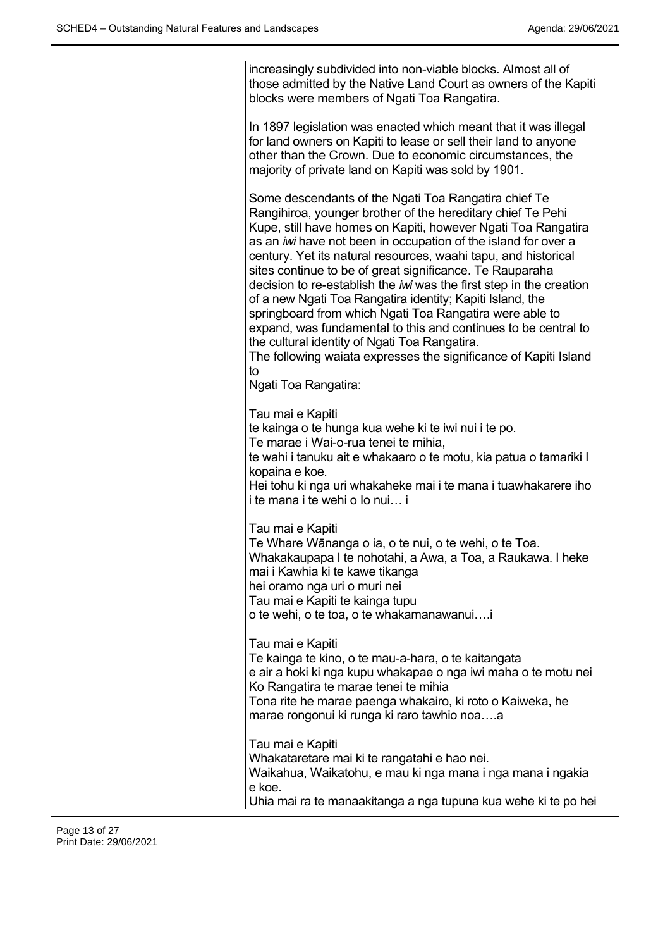| increasingly subdivided into non-viable blocks. Almost all of<br>those admitted by the Native Land Court as owners of the Kapiti<br>blocks were members of Ngati Toa Rangatira.                                                                                                                                                                                                                                                                                                                                                                                                                                                                                                                                                                                                                                 |
|-----------------------------------------------------------------------------------------------------------------------------------------------------------------------------------------------------------------------------------------------------------------------------------------------------------------------------------------------------------------------------------------------------------------------------------------------------------------------------------------------------------------------------------------------------------------------------------------------------------------------------------------------------------------------------------------------------------------------------------------------------------------------------------------------------------------|
| In 1897 legislation was enacted which meant that it was illegal<br>for land owners on Kapiti to lease or sell their land to anyone<br>other than the Crown. Due to economic circumstances, the<br>majority of private land on Kapiti was sold by 1901.                                                                                                                                                                                                                                                                                                                                                                                                                                                                                                                                                          |
| Some descendants of the Ngati Toa Rangatira chief Te<br>Rangihiroa, younger brother of the hereditary chief Te Pehi<br>Kupe, still have homes on Kapiti, however Ngati Toa Rangatira<br>as an iwi have not been in occupation of the island for over a<br>century. Yet its natural resources, waahi tapu, and historical<br>sites continue to be of great significance. Te Rauparaha<br>decision to re-establish the <i>iwi</i> was the first step in the creation<br>of a new Ngati Toa Rangatira identity; Kapiti Island, the<br>springboard from which Ngati Toa Rangatira were able to<br>expand, was fundamental to this and continues to be central to<br>the cultural identity of Ngati Toa Rangatira.<br>The following waiata expresses the significance of Kapiti Island<br>to<br>Ngati Toa Rangatira: |
| Tau mai e Kapiti<br>te kainga o te hunga kua wehe ki te iwi nui i te po.<br>Te marae i Wai-o-rua tenei te mihia,<br>te wahi i tanuku ait e whakaaro o te motu, kia patua o tamariki l<br>kopaina e koe.<br>Hei tohu ki nga uri whakaheke mai i te mana i tuawhakarere iho<br>i te mana i te wehi o lo nui i                                                                                                                                                                                                                                                                                                                                                                                                                                                                                                     |
| Tau mai e Kapiti<br>Te Whare Wānanga o ia, o te nui, o te wehi, o te Toa.<br>Whakakaupapa I te nohotahi, a Awa, a Toa, a Raukawa. I heke<br>mai i Kawhia ki te kawe tikanga<br>hei oramo nga uri o muri nei<br>Tau mai e Kapiti te kainga tupu<br>o te wehi, o te toa, o te whakamanawanuii                                                                                                                                                                                                                                                                                                                                                                                                                                                                                                                     |
| Tau mai e Kapiti<br>Te kainga te kino, o te mau-a-hara, o te kaitangata<br>e air a hoki ki nga kupu whakapae o nga iwi maha o te motu nei<br>Ko Rangatira te marae tenei te mihia<br>Tona rite he marae paenga whakairo, ki roto o Kaiweka, he<br>marae rongonui ki runga ki raro tawhio noaa                                                                                                                                                                                                                                                                                                                                                                                                                                                                                                                   |
| Tau mai e Kapiti<br>Whakataretare mai ki te rangatahi e hao nei.<br>Waikahua, Waikatohu, e mau ki nga mana i nga mana i ngakia<br>e koe.<br>Uhia mai ra te manaakitanga a nga tupuna kua wehe ki te po hei                                                                                                                                                                                                                                                                                                                                                                                                                                                                                                                                                                                                      |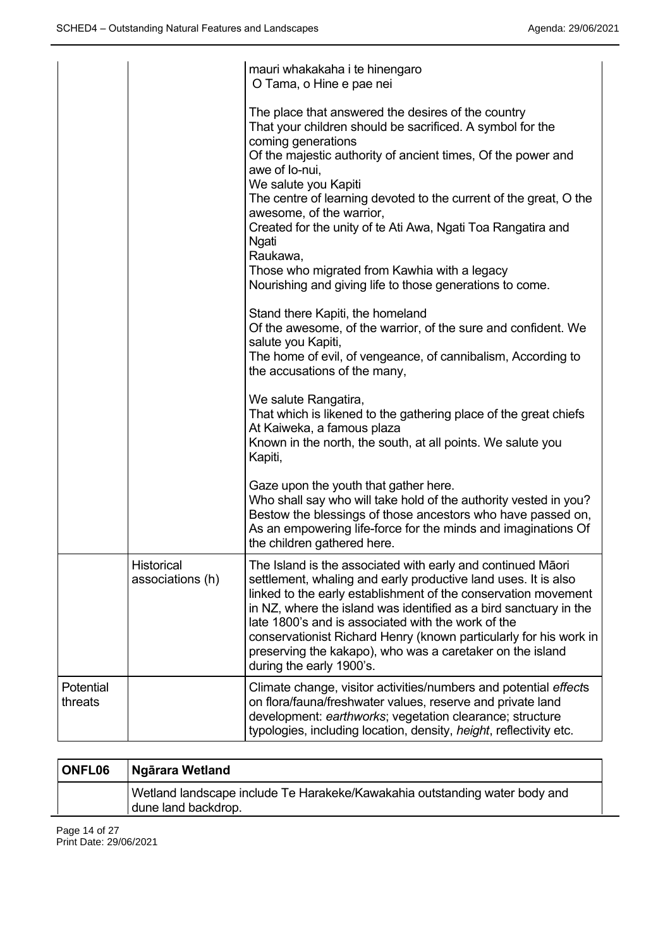|                      |                                | mauri whakakaha i te hinengaro<br>O Tama, o Hine e pae nei                                                                                                                                                                                                                                                                                                                                                                                                                                                                                               |
|----------------------|--------------------------------|----------------------------------------------------------------------------------------------------------------------------------------------------------------------------------------------------------------------------------------------------------------------------------------------------------------------------------------------------------------------------------------------------------------------------------------------------------------------------------------------------------------------------------------------------------|
|                      |                                | The place that answered the desires of the country<br>That your children should be sacrificed. A symbol for the<br>coming generations<br>Of the majestic authority of ancient times, Of the power and<br>awe of lo-nui,<br>We salute you Kapiti<br>The centre of learning devoted to the current of the great, O the<br>awesome, of the warrior,<br>Created for the unity of te Ati Awa, Ngati Toa Rangatira and<br><b>Ngati</b><br>Raukawa,<br>Those who migrated from Kawhia with a legacy<br>Nourishing and giving life to those generations to come. |
|                      |                                | Stand there Kapiti, the homeland<br>Of the awesome, of the warrior, of the sure and confident. We<br>salute you Kapiti,<br>The home of evil, of vengeance, of cannibalism, According to<br>the accusations of the many,                                                                                                                                                                                                                                                                                                                                  |
|                      |                                | We salute Rangatira,<br>That which is likened to the gathering place of the great chiefs<br>At Kaiweka, a famous plaza<br>Known in the north, the south, at all points. We salute you<br>Kapiti,                                                                                                                                                                                                                                                                                                                                                         |
|                      |                                | Gaze upon the youth that gather here.<br>Who shall say who will take hold of the authority vested in you?<br>Bestow the blessings of those ancestors who have passed on,<br>As an empowering life-force for the minds and imaginations Of<br>the children gathered here.                                                                                                                                                                                                                                                                                 |
|                      | Historical<br>associations (h) | The Island is the associated with early and continued Māori<br>settlement, whaling and early productive land uses. It is also<br>linked to the early establishment of the conservation movement<br>in NZ, where the island was identified as a bird sanctuary in the<br>late 1800's and is associated with the work of the<br>conservationist Richard Henry (known particularly for his work in<br>preserving the kakapo), who was a caretaker on the island<br>during the early 1900's.                                                                 |
| Potential<br>threats |                                | Climate change, visitor activities/numbers and potential effects<br>on flora/fauna/freshwater values, reserve and private land<br>development: earthworks; vegetation clearance; structure<br>typologies, including location, density, height, reflectivity etc.                                                                                                                                                                                                                                                                                         |

| <b>ONFL06</b> | <b>Ngārara Wetland</b>                                                                            |
|---------------|---------------------------------------------------------------------------------------------------|
|               | Wetland landscape include Te Harakeke/Kawakahia outstanding water body and<br>dune land backdrop. |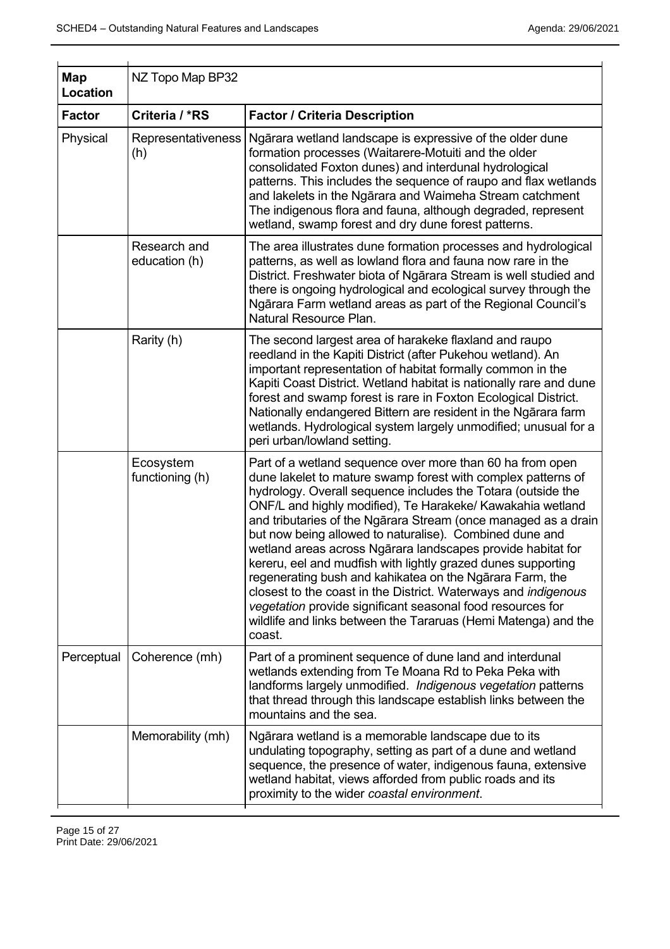| NZ Topo Map BP32              |                                                                                                                                                                                                                                                                                                                                                                                                                                                                                                                                                                                                                                                                                                                                                                                                    |
|-------------------------------|----------------------------------------------------------------------------------------------------------------------------------------------------------------------------------------------------------------------------------------------------------------------------------------------------------------------------------------------------------------------------------------------------------------------------------------------------------------------------------------------------------------------------------------------------------------------------------------------------------------------------------------------------------------------------------------------------------------------------------------------------------------------------------------------------|
| Criteria / *RS                | <b>Factor / Criteria Description</b>                                                                                                                                                                                                                                                                                                                                                                                                                                                                                                                                                                                                                                                                                                                                                               |
| Representativeness<br>(h)     | Ngārara wetland landscape is expressive of the older dune<br>formation processes (Waitarere-Motuiti and the older<br>consolidated Foxton dunes) and interdunal hydrological<br>patterns. This includes the sequence of raupo and flax wetlands<br>and lakelets in the Ngārara and Waimeha Stream catchment<br>The indigenous flora and fauna, although degraded, represent<br>wetland, swamp forest and dry dune forest patterns.                                                                                                                                                                                                                                                                                                                                                                  |
| Research and<br>education (h) | The area illustrates dune formation processes and hydrological<br>patterns, as well as lowland flora and fauna now rare in the<br>District. Freshwater biota of Ngārara Stream is well studied and<br>there is ongoing hydrological and ecological survey through the<br>Ngārara Farm wetland areas as part of the Regional Council's<br>Natural Resource Plan.                                                                                                                                                                                                                                                                                                                                                                                                                                    |
| Rarity (h)                    | The second largest area of harakeke flaxland and raupo<br>reedland in the Kapiti District (after Pukehou wetland). An<br>important representation of habitat formally common in the<br>Kapiti Coast District. Wetland habitat is nationally rare and dune<br>forest and swamp forest is rare in Foxton Ecological District.<br>Nationally endangered Bittern are resident in the Ngārara farm<br>wetlands. Hydrological system largely unmodified; unusual for a<br>peri urban/lowland setting.                                                                                                                                                                                                                                                                                                    |
| Ecosystem<br>functioning (h)  | Part of a wetland sequence over more than 60 ha from open<br>dune lakelet to mature swamp forest with complex patterns of<br>hydrology. Overall sequence includes the Totara (outside the<br>ONF/L and highly modified), Te Harakeke/ Kawakahia wetland<br>and tributaries of the Ngārara Stream (once managed as a drain<br>but now being allowed to naturalise). Combined dune and<br>wetland areas across Ngārara landscapes provide habitat for<br>kereru, eel and mudfish with lightly grazed dunes supporting<br>regenerating bush and kahikatea on the Ngarara Farm, the<br>closest to the coast in the District. Waterways and <i>indigenous</i><br>vegetation provide significant seasonal food resources for<br>wildlife and links between the Tararuas (Hemi Matenga) and the<br>coast. |
| Coherence (mh)                | Part of a prominent sequence of dune land and interdunal<br>wetlands extending from Te Moana Rd to Peka Peka with<br>landforms largely unmodified. Indigenous vegetation patterns<br>that thread through this landscape establish links between the<br>mountains and the sea.                                                                                                                                                                                                                                                                                                                                                                                                                                                                                                                      |
| Memorability (mh)             | Ngārara wetland is a memorable landscape due to its<br>undulating topography, setting as part of a dune and wetland<br>sequence, the presence of water, indigenous fauna, extensive<br>wetland habitat, views afforded from public roads and its<br>proximity to the wider coastal environment.                                                                                                                                                                                                                                                                                                                                                                                                                                                                                                    |
|                               |                                                                                                                                                                                                                                                                                                                                                                                                                                                                                                                                                                                                                                                                                                                                                                                                    |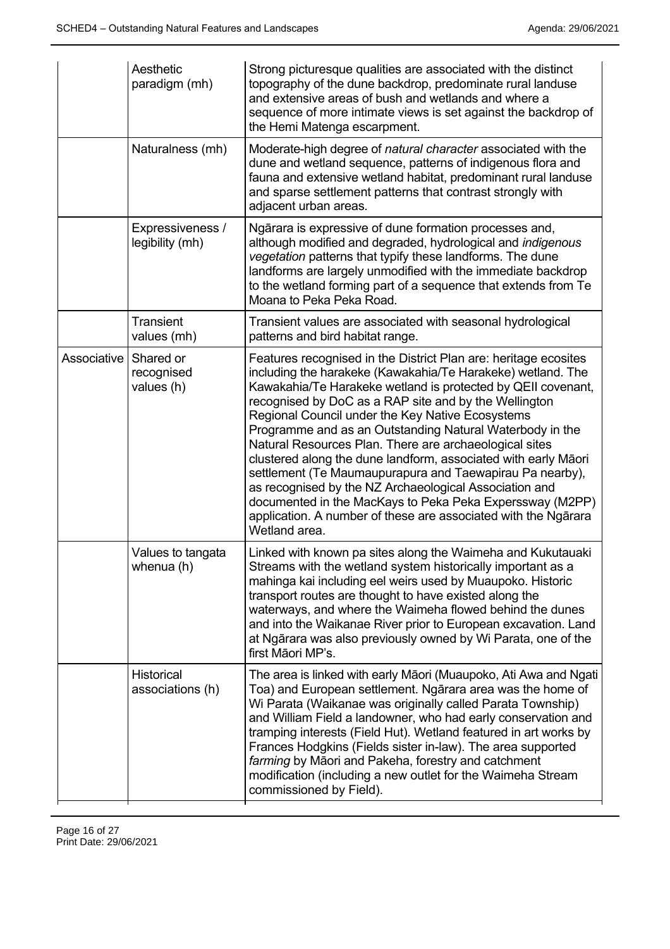|             | Aesthetic<br>paradigm (mh)            | Strong picturesque qualities are associated with the distinct<br>topography of the dune backdrop, predominate rural landuse<br>and extensive areas of bush and wetlands and where a<br>sequence of more intimate views is set against the backdrop of<br>the Hemi Matenga escarpment.                                                                                                                                                                                                                                                                                                                                                                                                                                                                                    |
|-------------|---------------------------------------|--------------------------------------------------------------------------------------------------------------------------------------------------------------------------------------------------------------------------------------------------------------------------------------------------------------------------------------------------------------------------------------------------------------------------------------------------------------------------------------------------------------------------------------------------------------------------------------------------------------------------------------------------------------------------------------------------------------------------------------------------------------------------|
|             | Naturalness (mh)                      | Moderate-high degree of natural character associated with the<br>dune and wetland sequence, patterns of indigenous flora and<br>fauna and extensive wetland habitat, predominant rural landuse<br>and sparse settlement patterns that contrast strongly with<br>adjacent urban areas.                                                                                                                                                                                                                                                                                                                                                                                                                                                                                    |
|             | Expressiveness /<br>legibility (mh)   | Ngārara is expressive of dune formation processes and,<br>although modified and degraded, hydrological and indigenous<br>vegetation patterns that typify these landforms. The dune<br>landforms are largely unmodified with the immediate backdrop<br>to the wetland forming part of a sequence that extends from Te<br>Moana to Peka Peka Road.                                                                                                                                                                                                                                                                                                                                                                                                                         |
|             | <b>Transient</b><br>values (mh)       | Transient values are associated with seasonal hydrological<br>patterns and bird habitat range.                                                                                                                                                                                                                                                                                                                                                                                                                                                                                                                                                                                                                                                                           |
| Associative | Shared or<br>recognised<br>values (h) | Features recognised in the District Plan are: heritage ecosites<br>including the harakeke (Kawakahia/Te Harakeke) wetland. The<br>Kawakahia/Te Harakeke wetland is protected by QEII covenant,<br>recognised by DoC as a RAP site and by the Wellington<br>Regional Council under the Key Native Ecosystems<br>Programme and as an Outstanding Natural Waterbody in the<br>Natural Resources Plan. There are archaeological sites<br>clustered along the dune landform, associated with early Māori<br>settlement (Te Maumaupurapura and Taewapirau Pa nearby),<br>as recognised by the NZ Archaeological Association and<br>documented in the MacKays to Peka Peka Experssway (M2PP)<br>application. A number of these are associated with the Ngārara<br>Wetland area. |
|             | Values to tangata<br>whenua (h)       | Linked with known pa sites along the Waimeha and Kukutauaki<br>Streams with the wetland system historically important as a<br>mahinga kai including eel weirs used by Muaupoko. Historic<br>transport routes are thought to have existed along the<br>waterways, and where the Waimeha flowed behind the dunes<br>and into the Waikanae River prior to European excavation. Land<br>at Ngārara was also previously owned by Wi Parata, one of the<br>first Māori MP's.                                                                                                                                                                                                                                                                                                   |
|             | Historical<br>associations (h)        | The area is linked with early Māori (Muaupoko, Ati Awa and Ngati<br>Toa) and European settlement. Ngārara area was the home of<br>Wi Parata (Waikanae was originally called Parata Township)<br>and William Field a landowner, who had early conservation and<br>tramping interests (Field Hut). Wetland featured in art works by<br>Frances Hodgkins (Fields sister in-law). The area supported<br>farming by Māori and Pakeha, forestry and catchment<br>modification (including a new outlet for the Waimeha Stream<br>commissioned by Field).                                                                                                                                                                                                                        |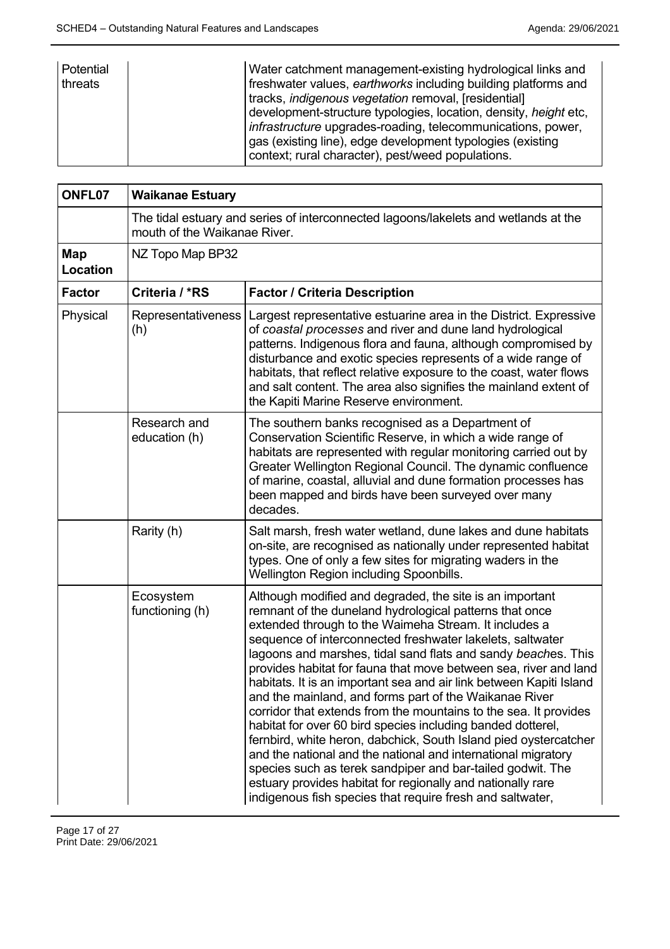| Potential<br>threats | Water catchment management-existing hydrological links and<br>freshwater values, earthworks including building platforms and<br>tracks, <i>indigenous vegetation</i> removal, [residential]<br>development-structure typologies, location, density, <i>height</i> etc,<br><i>infrastructure</i> upgrades-roading, telecommunications, power, |
|----------------------|----------------------------------------------------------------------------------------------------------------------------------------------------------------------------------------------------------------------------------------------------------------------------------------------------------------------------------------------|
|                      | gas (existing line), edge development typologies (existing<br>context; rural character), pest/weed populations.                                                                                                                                                                                                                              |

| ONFL07          | <b>Waikanae Estuary</b>                                                                                             |                                                                                                                                                                                                                                                                                                                                                                                                                                                                                                                                                                                                                                                                                                                                                                                                                                                                                                                                                                                   |
|-----------------|---------------------------------------------------------------------------------------------------------------------|-----------------------------------------------------------------------------------------------------------------------------------------------------------------------------------------------------------------------------------------------------------------------------------------------------------------------------------------------------------------------------------------------------------------------------------------------------------------------------------------------------------------------------------------------------------------------------------------------------------------------------------------------------------------------------------------------------------------------------------------------------------------------------------------------------------------------------------------------------------------------------------------------------------------------------------------------------------------------------------|
|                 | The tidal estuary and series of interconnected lagoons/lakelets and wetlands at the<br>mouth of the Waikanae River. |                                                                                                                                                                                                                                                                                                                                                                                                                                                                                                                                                                                                                                                                                                                                                                                                                                                                                                                                                                                   |
| Map<br>Location | NZ Topo Map BP32                                                                                                    |                                                                                                                                                                                                                                                                                                                                                                                                                                                                                                                                                                                                                                                                                                                                                                                                                                                                                                                                                                                   |
| <b>Factor</b>   | Criteria / *RS                                                                                                      | <b>Factor / Criteria Description</b>                                                                                                                                                                                                                                                                                                                                                                                                                                                                                                                                                                                                                                                                                                                                                                                                                                                                                                                                              |
| Physical        | <b>Representativeness</b><br>(h)                                                                                    | Largest representative estuarine area in the District. Expressive<br>of coastal processes and river and dune land hydrological<br>patterns. Indigenous flora and fauna, although compromised by<br>disturbance and exotic species represents of a wide range of<br>habitats, that reflect relative exposure to the coast, water flows<br>and salt content. The area also signifies the mainland extent of<br>the Kapiti Marine Reserve environment.                                                                                                                                                                                                                                                                                                                                                                                                                                                                                                                               |
|                 | Research and<br>education (h)                                                                                       | The southern banks recognised as a Department of<br>Conservation Scientific Reserve, in which a wide range of<br>habitats are represented with regular monitoring carried out by<br>Greater Wellington Regional Council. The dynamic confluence<br>of marine, coastal, alluvial and dune formation processes has<br>been mapped and birds have been surveyed over many<br>decades.                                                                                                                                                                                                                                                                                                                                                                                                                                                                                                                                                                                                |
|                 | Rarity (h)                                                                                                          | Salt marsh, fresh water wetland, dune lakes and dune habitats<br>on-site, are recognised as nationally under represented habitat<br>types. One of only a few sites for migrating waders in the<br>Wellington Region including Spoonbills.                                                                                                                                                                                                                                                                                                                                                                                                                                                                                                                                                                                                                                                                                                                                         |
|                 | Ecosystem<br>functioning (h)                                                                                        | Although modified and degraded, the site is an important<br>remnant of the duneland hydrological patterns that once<br>extended through to the Waimeha Stream. It includes a<br>sequence of interconnected freshwater lakelets, saltwater<br>lagoons and marshes, tidal sand flats and sandy beaches. This<br>provides habitat for fauna that move between sea, river and land<br>habitats. It is an important sea and air link between Kapiti Island<br>and the mainland, and forms part of the Waikanae River<br>corridor that extends from the mountains to the sea. It provides<br>habitat for over 60 bird species including banded dotterel,<br>fernbird, white heron, dabchick, South Island pied oystercatcher<br>and the national and the national and international migratory<br>species such as terek sandpiper and bar-tailed godwit. The<br>estuary provides habitat for regionally and nationally rare<br>indigenous fish species that require fresh and saltwater, |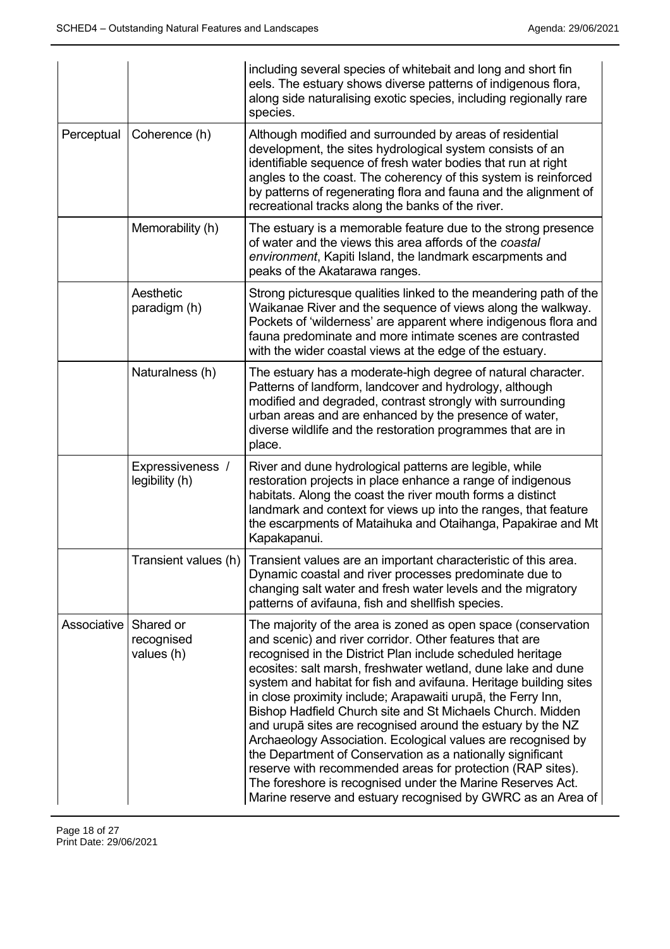|             |                                       | including several species of whitebait and long and short fin<br>eels. The estuary shows diverse patterns of indigenous flora,<br>along side naturalising exotic species, including regionally rare<br>species.                                                                                                                                                                                                                                                                                                                                                                                                                                                                                                                                                                                                                                   |
|-------------|---------------------------------------|---------------------------------------------------------------------------------------------------------------------------------------------------------------------------------------------------------------------------------------------------------------------------------------------------------------------------------------------------------------------------------------------------------------------------------------------------------------------------------------------------------------------------------------------------------------------------------------------------------------------------------------------------------------------------------------------------------------------------------------------------------------------------------------------------------------------------------------------------|
| Perceptual  | Coherence (h)                         | Although modified and surrounded by areas of residential<br>development, the sites hydrological system consists of an<br>identifiable sequence of fresh water bodies that run at right<br>angles to the coast. The coherency of this system is reinforced<br>by patterns of regenerating flora and fauna and the alignment of<br>recreational tracks along the banks of the river.                                                                                                                                                                                                                                                                                                                                                                                                                                                                |
|             | Memorability (h)                      | The estuary is a memorable feature due to the strong presence<br>of water and the views this area affords of the coastal<br>environment, Kapiti Island, the landmark escarpments and<br>peaks of the Akatarawa ranges.                                                                                                                                                                                                                                                                                                                                                                                                                                                                                                                                                                                                                            |
|             | Aesthetic<br>paradigm (h)             | Strong picturesque qualities linked to the meandering path of the<br>Waikanae River and the sequence of views along the walkway.<br>Pockets of 'wilderness' are apparent where indigenous flora and<br>fauna predominate and more intimate scenes are contrasted<br>with the wider coastal views at the edge of the estuary.                                                                                                                                                                                                                                                                                                                                                                                                                                                                                                                      |
|             | Naturalness (h)                       | The estuary has a moderate-high degree of natural character.<br>Patterns of landform, landcover and hydrology, although<br>modified and degraded, contrast strongly with surrounding<br>urban areas and are enhanced by the presence of water,<br>diverse wildlife and the restoration programmes that are in<br>place.                                                                                                                                                                                                                                                                                                                                                                                                                                                                                                                           |
|             | Expressiveness /<br>legibility (h)    | River and dune hydrological patterns are legible, while<br>restoration projects in place enhance a range of indigenous<br>habitats. Along the coast the river mouth forms a distinct<br>landmark and context for views up into the ranges, that feature<br>the escarpments of Mataihuka and Otaihanga, Papakirae and Mt<br>Kapakapanui.                                                                                                                                                                                                                                                                                                                                                                                                                                                                                                           |
|             |                                       | Transient values (h)   Transient values are an important characteristic of this area.<br>Dynamic coastal and river processes predominate due to<br>changing salt water and fresh water levels and the migratory<br>patterns of avifauna, fish and shellfish species.                                                                                                                                                                                                                                                                                                                                                                                                                                                                                                                                                                              |
| Associative | Shared or<br>recognised<br>values (h) | The majority of the area is zoned as open space (conservation<br>and scenic) and river corridor. Other features that are<br>recognised in the District Plan include scheduled heritage<br>ecosites: salt marsh, freshwater wetland, dune lake and dune<br>system and habitat for fish and avifauna. Heritage building sites<br>in close proximity include; Arapawaiti urupā, the Ferry Inn,<br>Bishop Hadfield Church site and St Michaels Church. Midden<br>and urupā sites are recognised around the estuary by the NZ<br>Archaeology Association. Ecological values are recognised by<br>the Department of Conservation as a nationally significant<br>reserve with recommended areas for protection (RAP sites).<br>The foreshore is recognised under the Marine Reserves Act.<br>Marine reserve and estuary recognised by GWRC as an Area of |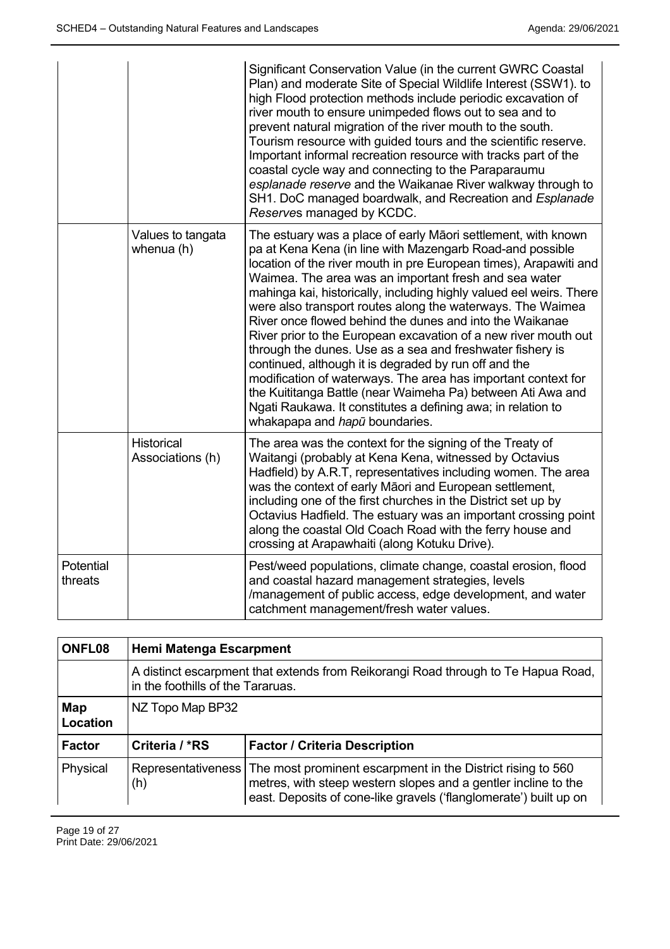|                      |                                       | Significant Conservation Value (in the current GWRC Coastal<br>Plan) and moderate Site of Special Wildlife Interest (SSW1). to<br>high Flood protection methods include periodic excavation of<br>river mouth to ensure unimpeded flows out to sea and to<br>prevent natural migration of the river mouth to the south.<br>Tourism resource with guided tours and the scientific reserve.<br>Important informal recreation resource with tracks part of the<br>coastal cycle way and connecting to the Paraparaumu<br>esplanade reserve and the Waikanae River walkway through to<br>SH1. DoC managed boardwalk, and Recreation and Esplanade<br>Reserves managed by KCDC.                                                                                                                                                                                                           |
|----------------------|---------------------------------------|--------------------------------------------------------------------------------------------------------------------------------------------------------------------------------------------------------------------------------------------------------------------------------------------------------------------------------------------------------------------------------------------------------------------------------------------------------------------------------------------------------------------------------------------------------------------------------------------------------------------------------------------------------------------------------------------------------------------------------------------------------------------------------------------------------------------------------------------------------------------------------------|
|                      | Values to tangata<br>whenua (h)       | The estuary was a place of early Māori settlement, with known<br>pa at Kena Kena (in line with Mazengarb Road-and possible<br>location of the river mouth in pre European times), Arapawiti and<br>Waimea. The area was an important fresh and sea water<br>mahinga kai, historically, including highly valued eel weirs. There<br>were also transport routes along the waterways. The Waimea<br>River once flowed behind the dunes and into the Waikanae<br>River prior to the European excavation of a new river mouth out<br>through the dunes. Use as a sea and freshwater fishery is<br>continued, although it is degraded by run off and the<br>modification of waterways. The area has important context for<br>the Kuititanga Battle (near Waimeha Pa) between Ati Awa and<br>Ngati Raukawa. It constitutes a defining awa; in relation to<br>whakapapa and hapū boundaries. |
|                      | <b>Historical</b><br>Associations (h) | The area was the context for the signing of the Treaty of<br>Waitangi (probably at Kena Kena, witnessed by Octavius<br>Hadfield) by A.R.T, representatives including women. The area<br>was the context of early Māori and European settlement,<br>including one of the first churches in the District set up by<br>Octavius Hadfield. The estuary was an important crossing point<br>along the coastal Old Coach Road with the ferry house and<br>crossing at Arapawhaiti (along Kotuku Drive).                                                                                                                                                                                                                                                                                                                                                                                     |
| Potential<br>threats |                                       | Pest/weed populations, climate change, coastal erosion, flood<br>and coastal hazard management strategies, levels<br>/management of public access, edge development, and water<br>catchment management/fresh water values.                                                                                                                                                                                                                                                                                                                                                                                                                                                                                                                                                                                                                                                           |

| ONFL08          | <b>Hemi Matenga Escarpment</b>                                                                                         |                                                                                                                                                                                                                         |
|-----------------|------------------------------------------------------------------------------------------------------------------------|-------------------------------------------------------------------------------------------------------------------------------------------------------------------------------------------------------------------------|
|                 | A distinct escarpment that extends from Reikorangi Road through to Te Hapua Road,<br>in the foothills of the Tararuas. |                                                                                                                                                                                                                         |
| Map<br>Location | NZ Topo Map BP32                                                                                                       |                                                                                                                                                                                                                         |
| <b>Factor</b>   | Criteria / *RS                                                                                                         | <b>Factor / Criteria Description</b>                                                                                                                                                                                    |
| Physical        | (h)                                                                                                                    | Representativeness   The most prominent escarpment in the District rising to 560<br>metres, with steep western slopes and a gentler incline to the<br>east. Deposits of cone-like gravels ('flanglomerate') built up on |

Page 19 of 27 Print Date: 29/06/2021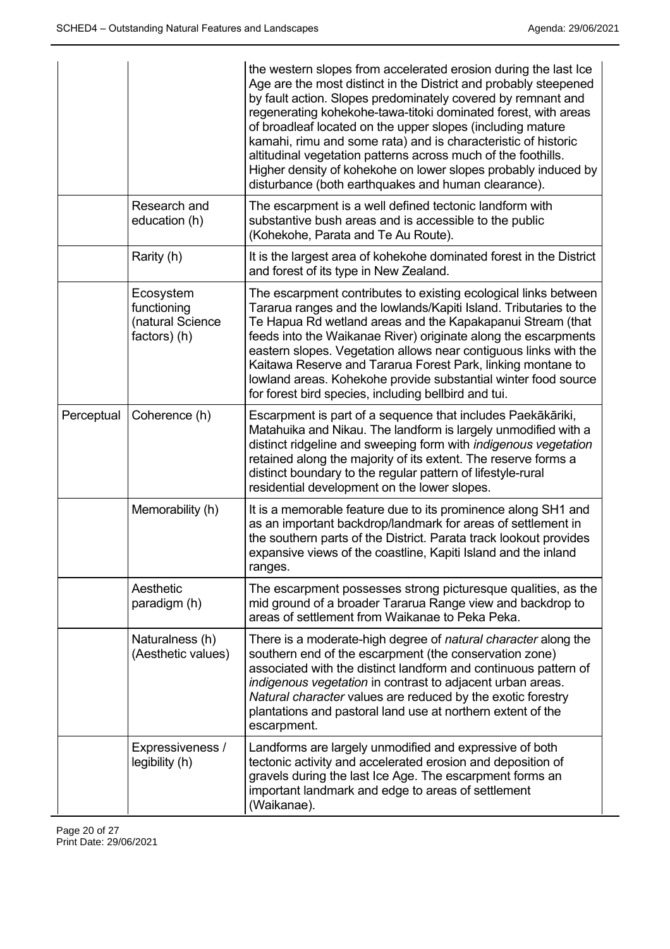|            |                                                              | the western slopes from accelerated erosion during the last Ice<br>Age are the most distinct in the District and probably steepened<br>by fault action. Slopes predominately covered by remnant and<br>regenerating kohekohe-tawa-titoki dominated forest, with areas<br>of broadleaf located on the upper slopes (including mature<br>kamahi, rimu and some rata) and is characteristic of historic<br>altitudinal vegetation patterns across much of the foothills.<br>Higher density of kohekohe on lower slopes probably induced by<br>disturbance (both earthquakes and human clearance). |
|------------|--------------------------------------------------------------|------------------------------------------------------------------------------------------------------------------------------------------------------------------------------------------------------------------------------------------------------------------------------------------------------------------------------------------------------------------------------------------------------------------------------------------------------------------------------------------------------------------------------------------------------------------------------------------------|
|            | Research and<br>education (h)                                | The escarpment is a well defined tectonic landform with<br>substantive bush areas and is accessible to the public<br>(Kohekohe, Parata and Te Au Route).                                                                                                                                                                                                                                                                                                                                                                                                                                       |
|            | Rarity (h)                                                   | It is the largest area of kohekohe dominated forest in the District<br>and forest of its type in New Zealand.                                                                                                                                                                                                                                                                                                                                                                                                                                                                                  |
|            | Ecosystem<br>functioning<br>(natural Science<br>factors) (h) | The escarpment contributes to existing ecological links between<br>Tararua ranges and the lowlands/Kapiti Island. Tributaries to the<br>Te Hapua Rd wetland areas and the Kapakapanui Stream (that<br>feeds into the Waikanae River) originate along the escarpments<br>eastern slopes. Vegetation allows near contiguous links with the<br>Kaitawa Reserve and Tararua Forest Park, linking montane to<br>lowland areas. Kohekohe provide substantial winter food source<br>for forest bird species, including bellbird and tui.                                                              |
| Perceptual | Coherence (h)                                                | Escarpment is part of a sequence that includes Paekākāriki,<br>Matahuika and Nikau. The landform is largely unmodified with a<br>distinct ridgeline and sweeping form with indigenous vegetation<br>retained along the majority of its extent. The reserve forms a<br>distinct boundary to the regular pattern of lifestyle-rural<br>residential development on the lower slopes.                                                                                                                                                                                                              |
|            | Memorability (h)                                             | It is a memorable feature due to its prominence along SH1 and<br>as an important backdrop/landmark for areas of settlement in<br>the southern parts of the District. Parata track lookout provides<br>expansive views of the coastline, Kapiti Island and the inland<br>ranges.                                                                                                                                                                                                                                                                                                                |
|            | Aesthetic<br>paradigm (h)                                    | The escarpment possesses strong picturesque qualities, as the<br>mid ground of a broader Tararua Range view and backdrop to<br>areas of settlement from Waikanae to Peka Peka.                                                                                                                                                                                                                                                                                                                                                                                                                 |
|            | Naturalness (h)<br>(Aesthetic values)                        | There is a moderate-high degree of natural character along the<br>southern end of the escarpment (the conservation zone)<br>associated with the distinct landform and continuous pattern of<br>indigenous vegetation in contrast to adjacent urban areas.<br>Natural character values are reduced by the exotic forestry<br>plantations and pastoral land use at northern extent of the<br>escarpment.                                                                                                                                                                                         |
|            | Expressiveness /<br>legibility (h)                           | Landforms are largely unmodified and expressive of both<br>tectonic activity and accelerated erosion and deposition of<br>gravels during the last Ice Age. The escarpment forms an<br>important landmark and edge to areas of settlement<br>(Waikanae).                                                                                                                                                                                                                                                                                                                                        |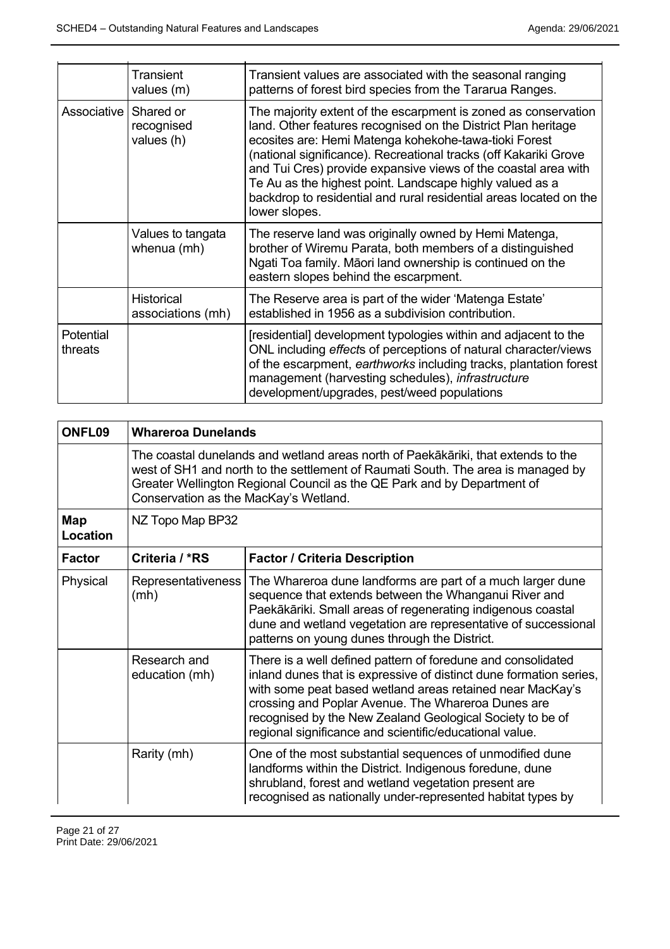|                      | Transient<br>values (m)                | Transient values are associated with the seasonal ranging<br>patterns of forest bird species from the Tararua Ranges.                                                                                                                                                                                                                                                                                                                                                             |
|----------------------|----------------------------------------|-----------------------------------------------------------------------------------------------------------------------------------------------------------------------------------------------------------------------------------------------------------------------------------------------------------------------------------------------------------------------------------------------------------------------------------------------------------------------------------|
| Associative          | Shared or<br>recognised<br>values (h)  | The majority extent of the escarpment is zoned as conservation<br>land. Other features recognised on the District Plan heritage<br>ecosites are: Hemi Matenga kohekohe-tawa-tioki Forest<br>(national significance). Recreational tracks (off Kakariki Grove<br>and Tui Cres) provide expansive views of the coastal area with<br>Te Au as the highest point. Landscape highly valued as a<br>backdrop to residential and rural residential areas located on the<br>lower slopes. |
|                      | Values to tangata<br>whenua (mh)       | The reserve land was originally owned by Hemi Matenga,<br>brother of Wiremu Parata, both members of a distinguished<br>Ngati Toa family. Māori land ownership is continued on the<br>eastern slopes behind the escarpment.                                                                                                                                                                                                                                                        |
|                      | <b>Historical</b><br>associations (mh) | The Reserve area is part of the wider 'Matenga Estate'<br>established in 1956 as a subdivision contribution.                                                                                                                                                                                                                                                                                                                                                                      |
| Potential<br>threats |                                        | [residential] development typologies within and adjacent to the<br>ONL including effects of perceptions of natural character/views<br>of the escarpment, earthworks including tracks, plantation forest<br>management (harvesting schedules), infrastructure<br>development/upgrades, pest/weed populations                                                                                                                                                                       |

| ONFL09          | <b>Whareroa Dunelands</b>                                                                                                                                                                                                                                                                 |                                                                                                                                                                                                                                                                                                                                                                               |
|-----------------|-------------------------------------------------------------------------------------------------------------------------------------------------------------------------------------------------------------------------------------------------------------------------------------------|-------------------------------------------------------------------------------------------------------------------------------------------------------------------------------------------------------------------------------------------------------------------------------------------------------------------------------------------------------------------------------|
|                 | The coastal dunelands and wetland areas north of Paekākāriki, that extends to the<br>west of SH1 and north to the settlement of Raumati South. The area is managed by<br>Greater Wellington Regional Council as the QE Park and by Department of<br>Conservation as the MacKay's Wetland. |                                                                                                                                                                                                                                                                                                                                                                               |
| Map<br>Location | NZ Topo Map BP32                                                                                                                                                                                                                                                                          |                                                                                                                                                                                                                                                                                                                                                                               |
| <b>Factor</b>   | Criteria / *RS                                                                                                                                                                                                                                                                            | <b>Factor / Criteria Description</b>                                                                                                                                                                                                                                                                                                                                          |
| Physical        | (mh)                                                                                                                                                                                                                                                                                      | Representativeness   The Whareroa dune landforms are part of a much larger dune<br>sequence that extends between the Whanganui River and<br>Paekākāriki. Small areas of regenerating indigenous coastal<br>dune and wetland vegetation are representative of successional<br>patterns on young dunes through the District.                                                    |
|                 | Research and<br>education (mh)                                                                                                                                                                                                                                                            | There is a well defined pattern of foredune and consolidated<br>inland dunes that is expressive of distinct dune formation series,<br>with some peat based wetland areas retained near MacKay's<br>crossing and Poplar Avenue. The Whareroa Dunes are<br>recognised by the New Zealand Geological Society to be of<br>regional significance and scientific/educational value. |
|                 | Rarity (mh)                                                                                                                                                                                                                                                                               | One of the most substantial sequences of unmodified dune<br>landforms within the District. Indigenous foredune, dune<br>shrubland, forest and wetland vegetation present are<br>recognised as nationally under-represented habitat types by                                                                                                                                   |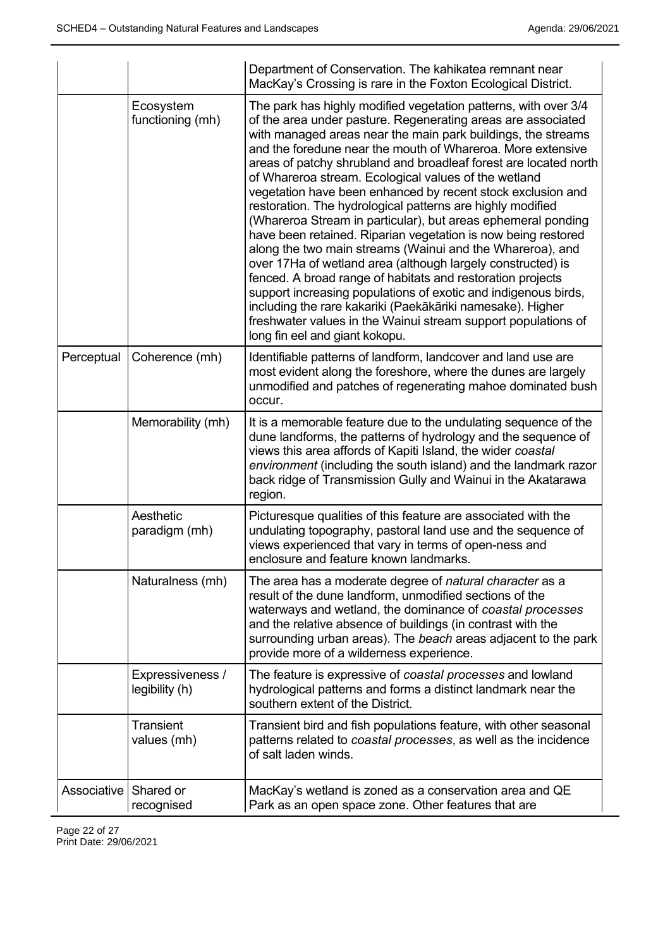|             |                                    | Department of Conservation. The kahikatea remnant near<br>MacKay's Crossing is rare in the Foxton Ecological District.                                                                                                                                                                                                                                                                                                                                                                                                                                                                                                                                                                                                                                                                                                                                                                                                                                                                                                                                                                |
|-------------|------------------------------------|---------------------------------------------------------------------------------------------------------------------------------------------------------------------------------------------------------------------------------------------------------------------------------------------------------------------------------------------------------------------------------------------------------------------------------------------------------------------------------------------------------------------------------------------------------------------------------------------------------------------------------------------------------------------------------------------------------------------------------------------------------------------------------------------------------------------------------------------------------------------------------------------------------------------------------------------------------------------------------------------------------------------------------------------------------------------------------------|
|             | Ecosystem<br>functioning (mh)      | The park has highly modified vegetation patterns, with over 3/4<br>of the area under pasture. Regenerating areas are associated<br>with managed areas near the main park buildings, the streams<br>and the foredune near the mouth of Whareroa. More extensive<br>areas of patchy shrubland and broadleaf forest are located north<br>of Whareroa stream. Ecological values of the wetland<br>vegetation have been enhanced by recent stock exclusion and<br>restoration. The hydrological patterns are highly modified<br>(Whareroa Stream in particular), but areas ephemeral ponding<br>have been retained. Riparian vegetation is now being restored<br>along the two main streams (Wainui and the Whareroa), and<br>over 17Ha of wetland area (although largely constructed) is<br>fenced. A broad range of habitats and restoration projects<br>support increasing populations of exotic and indigenous birds,<br>including the rare kakariki (Paekākāriki namesake). Higher<br>freshwater values in the Wainui stream support populations of<br>long fin eel and giant kokopu. |
| Perceptual  | Coherence (mh)                     | Identifiable patterns of landform, landcover and land use are<br>most evident along the foreshore, where the dunes are largely<br>unmodified and patches of regenerating mahoe dominated bush<br>occur.                                                                                                                                                                                                                                                                                                                                                                                                                                                                                                                                                                                                                                                                                                                                                                                                                                                                               |
|             | Memorability (mh)                  | It is a memorable feature due to the undulating sequence of the<br>dune landforms, the patterns of hydrology and the sequence of<br>views this area affords of Kapiti Island, the wider coastal<br>environment (including the south island) and the landmark razor<br>back ridge of Transmission Gully and Wainui in the Akatarawa<br>region.                                                                                                                                                                                                                                                                                                                                                                                                                                                                                                                                                                                                                                                                                                                                         |
|             | Aesthetic<br>paradigm (mh)         | Picturesque qualities of this feature are associated with the<br>undulating topography, pastoral land use and the sequence of<br>views experienced that vary in terms of open-ness and<br>enclosure and feature known landmarks.                                                                                                                                                                                                                                                                                                                                                                                                                                                                                                                                                                                                                                                                                                                                                                                                                                                      |
|             | Naturalness (mh)                   | The area has a moderate degree of natural character as a<br>result of the dune landform, unmodified sections of the<br>waterways and wetland, the dominance of coastal processes<br>and the relative absence of buildings (in contrast with the<br>surrounding urban areas). The beach areas adjacent to the park<br>provide more of a wilderness experience.                                                                                                                                                                                                                                                                                                                                                                                                                                                                                                                                                                                                                                                                                                                         |
|             | Expressiveness /<br>legibility (h) | The feature is expressive of coastal processes and lowland<br>hydrological patterns and forms a distinct landmark near the<br>southern extent of the District.                                                                                                                                                                                                                                                                                                                                                                                                                                                                                                                                                                                                                                                                                                                                                                                                                                                                                                                        |
|             | <b>Transient</b><br>values (mh)    | Transient bird and fish populations feature, with other seasonal<br>patterns related to coastal processes, as well as the incidence<br>of salt laden winds.                                                                                                                                                                                                                                                                                                                                                                                                                                                                                                                                                                                                                                                                                                                                                                                                                                                                                                                           |
| Associative | Shared or<br>recognised            | MacKay's wetland is zoned as a conservation area and QE<br>Park as an open space zone. Other features that are                                                                                                                                                                                                                                                                                                                                                                                                                                                                                                                                                                                                                                                                                                                                                                                                                                                                                                                                                                        |

Page 22 of 27 Print Date: 29/06/2021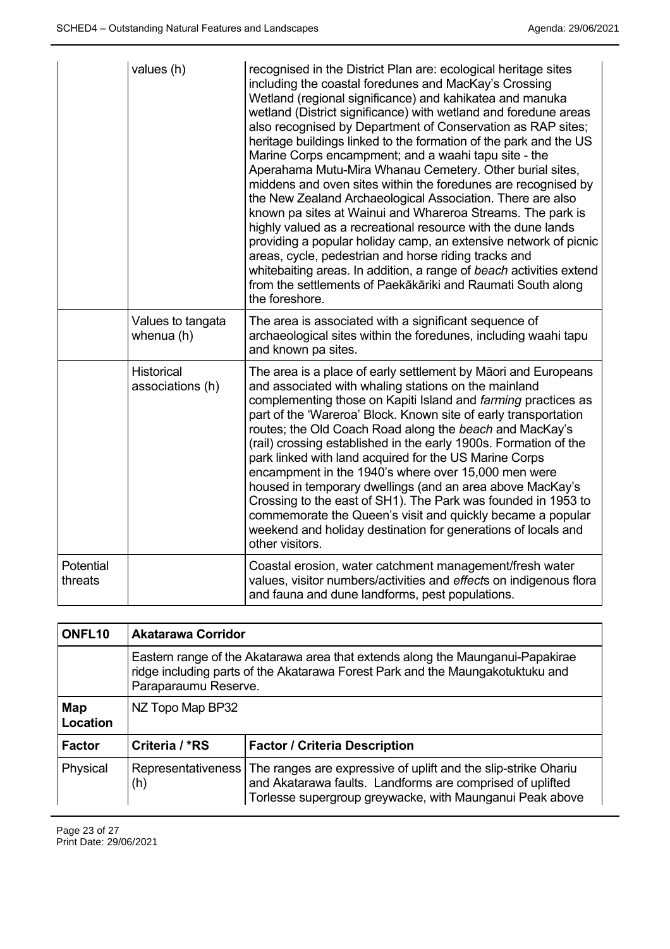|                      | values (h)                      | recognised in the District Plan are: ecological heritage sites<br>including the coastal foredunes and MacKay's Crossing<br>Wetland (regional significance) and kahikatea and manuka<br>wetland (District significance) with wetland and foredune areas<br>also recognised by Department of Conservation as RAP sites;<br>heritage buildings linked to the formation of the park and the US<br>Marine Corps encampment; and a waahi tapu site - the<br>Aperahama Mutu-Mira Whanau Cemetery. Other burial sites,<br>middens and oven sites within the foredunes are recognised by<br>the New Zealand Archaeological Association. There are also<br>known pa sites at Wainui and Whareroa Streams. The park is<br>highly valued as a recreational resource with the dune lands<br>providing a popular holiday camp, an extensive network of picnic<br>areas, cycle, pedestrian and horse riding tracks and<br>whitebaiting areas. In addition, a range of beach activities extend<br>from the settlements of Paekākāriki and Raumati South along<br>the foreshore. |
|----------------------|---------------------------------|-----------------------------------------------------------------------------------------------------------------------------------------------------------------------------------------------------------------------------------------------------------------------------------------------------------------------------------------------------------------------------------------------------------------------------------------------------------------------------------------------------------------------------------------------------------------------------------------------------------------------------------------------------------------------------------------------------------------------------------------------------------------------------------------------------------------------------------------------------------------------------------------------------------------------------------------------------------------------------------------------------------------------------------------------------------------|
|                      | Values to tangata<br>whenua (h) | The area is associated with a significant sequence of<br>archaeological sites within the foredunes, including waahi tapu<br>and known pa sites.                                                                                                                                                                                                                                                                                                                                                                                                                                                                                                                                                                                                                                                                                                                                                                                                                                                                                                                 |
|                      | Historical<br>associations (h)  | The area is a place of early settlement by Māori and Europeans<br>and associated with whaling stations on the mainland<br>complementing those on Kapiti Island and farming practices as<br>part of the 'Wareroa' Block. Known site of early transportation<br>routes; the Old Coach Road along the beach and MacKay's<br>(rail) crossing established in the early 1900s. Formation of the<br>park linked with land acquired for the US Marine Corps<br>encampment in the 1940's where over 15,000 men were<br>housed in temporary dwellings (and an area above MacKay's<br>Crossing to the east of SH1). The Park was founded in 1953 to<br>commemorate the Queen's visit and quickly became a popular<br>weekend and holiday destination for generations of locals and<br>other visitors.                                                                                                                                                                                                                                                                      |
| Potential<br>threats |                                 | Coastal erosion, water catchment management/fresh water<br>values, visitor numbers/activities and effects on indigenous flora<br>and fauna and dune landforms, pest populations.                                                                                                                                                                                                                                                                                                                                                                                                                                                                                                                                                                                                                                                                                                                                                                                                                                                                                |

| ONFL <sub>10</sub> | <b>Akatarawa Corridor</b> |                                                                                                                                                                                         |
|--------------------|---------------------------|-----------------------------------------------------------------------------------------------------------------------------------------------------------------------------------------|
|                    | Paraparaumu Reserve.      | Eastern range of the Akatarawa area that extends along the Maunganui-Papakirae<br>ridge including parts of the Akatarawa Forest Park and the Maungakotuktuku and                        |
| Map<br>Location    | NZ Topo Map BP32          |                                                                                                                                                                                         |
| Factor             | Criteria / *RS            | <b>Factor / Criteria Description</b>                                                                                                                                                    |
| Physical           | Representativeness<br>(h) | The ranges are expressive of uplift and the slip-strike Ohariu<br>and Akatarawa faults. Landforms are comprised of uplifted<br>Torlesse supergroup greywacke, with Maunganui Peak above |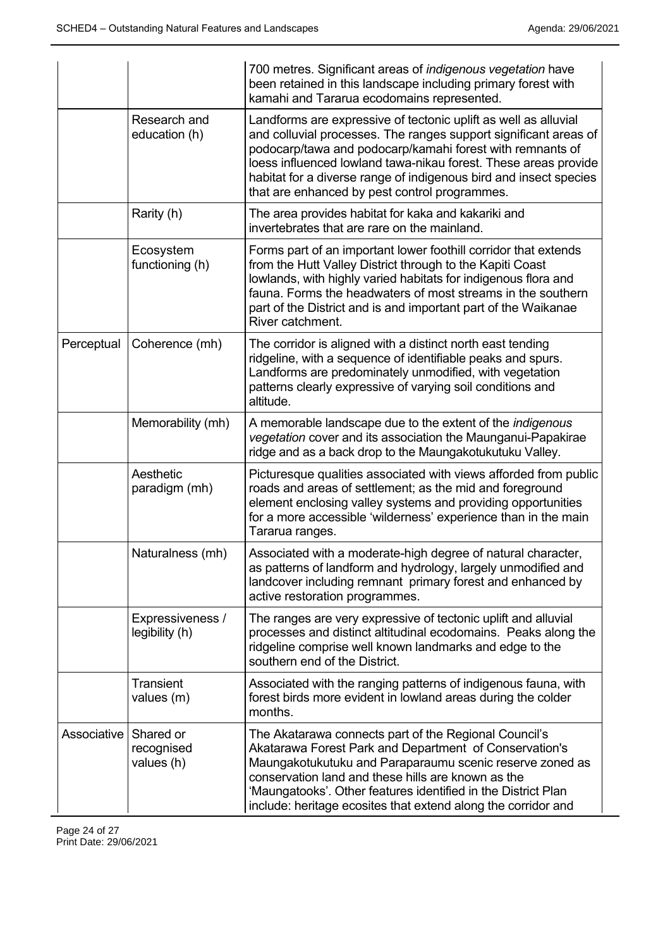|             |                                       | 700 metres. Significant areas of <i>indigenous vegetation</i> have<br>been retained in this landscape including primary forest with<br>kamahi and Tararua ecodomains represented.                                                                                                                                                                                                         |
|-------------|---------------------------------------|-------------------------------------------------------------------------------------------------------------------------------------------------------------------------------------------------------------------------------------------------------------------------------------------------------------------------------------------------------------------------------------------|
|             | Research and<br>education (h)         | Landforms are expressive of tectonic uplift as well as alluvial<br>and colluvial processes. The ranges support significant areas of<br>podocarp/tawa and podocarp/kamahi forest with remnants of<br>loess influenced lowland tawa-nikau forest. These areas provide<br>habitat for a diverse range of indigenous bird and insect species<br>that are enhanced by pest control programmes. |
|             | Rarity (h)                            | The area provides habitat for kaka and kakariki and<br>invertebrates that are rare on the mainland.                                                                                                                                                                                                                                                                                       |
|             | Ecosystem<br>functioning (h)          | Forms part of an important lower foothill corridor that extends<br>from the Hutt Valley District through to the Kapiti Coast<br>lowlands, with highly varied habitats for indigenous flora and<br>fauna. Forms the headwaters of most streams in the southern<br>part of the District and is and important part of the Waikanae<br>River catchment.                                       |
| Perceptual  | Coherence (mh)                        | The corridor is aligned with a distinct north east tending<br>ridgeline, with a sequence of identifiable peaks and spurs.<br>Landforms are predominately unmodified, with vegetation<br>patterns clearly expressive of varying soil conditions and<br>altitude.                                                                                                                           |
|             | Memorability (mh)                     | A memorable landscape due to the extent of the indigenous<br>vegetation cover and its association the Maunganui-Papakirae<br>ridge and as a back drop to the Maungakotukutuku Valley.                                                                                                                                                                                                     |
|             | Aesthetic<br>paradigm (mh)            | Picturesque qualities associated with views afforded from public<br>roads and areas of settlement; as the mid and foreground<br>element enclosing valley systems and providing opportunities<br>for a more accessible 'wilderness' experience than in the main<br>Tararua ranges.                                                                                                         |
|             | Naturalness (mh)                      | Associated with a moderate-high degree of natural character,<br>as patterns of landform and hydrology, largely unmodified and<br>landcover including remnant primary forest and enhanced by<br>active restoration programmes.                                                                                                                                                             |
|             | Expressiveness /<br>legibility (h)    | The ranges are very expressive of tectonic uplift and alluvial<br>processes and distinct altitudinal ecodomains. Peaks along the<br>ridgeline comprise well known landmarks and edge to the<br>southern end of the District.                                                                                                                                                              |
|             | Transient<br>values (m)               | Associated with the ranging patterns of indigenous fauna, with<br>forest birds more evident in lowland areas during the colder<br>months.                                                                                                                                                                                                                                                 |
| Associative | Shared or<br>recognised<br>values (h) | The Akatarawa connects part of the Regional Council's<br>Akatarawa Forest Park and Department of Conservation's<br>Maungakotukutuku and Paraparaumu scenic reserve zoned as<br>conservation land and these hills are known as the<br>'Maungatooks'. Other features identified in the District Plan<br>include: heritage ecosites that extend along the corridor and                       |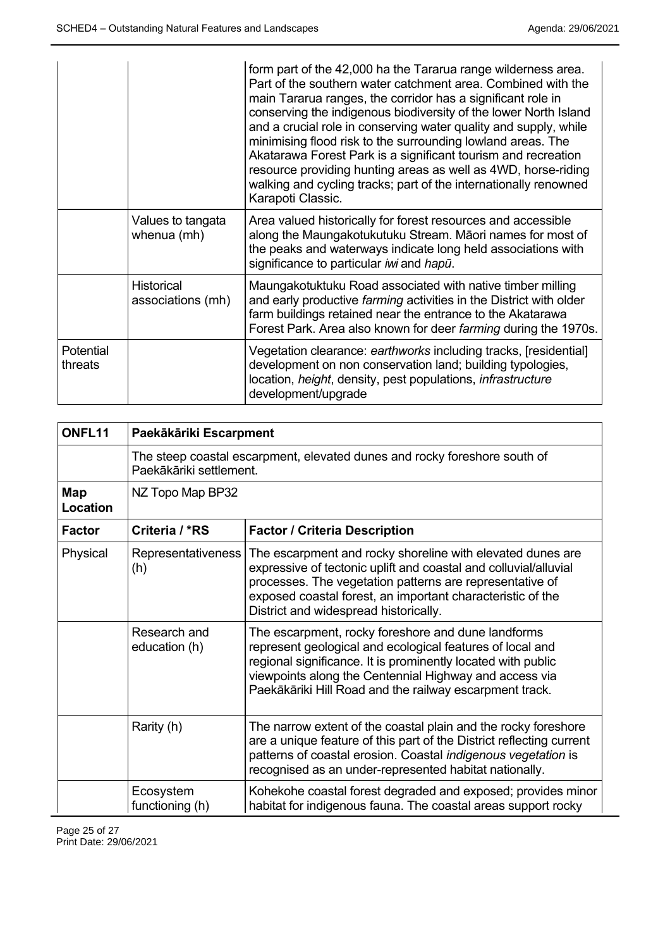|                      |                                        | form part of the 42,000 ha the Tararua range wilderness area.<br>Part of the southern water catchment area. Combined with the<br>main Tararua ranges, the corridor has a significant role in<br>conserving the indigenous biodiversity of the lower North Island<br>and a crucial role in conserving water quality and supply, while<br>minimising flood risk to the surrounding lowland areas. The<br>Akatarawa Forest Park is a significant tourism and recreation<br>resource providing hunting areas as well as 4WD, horse-riding<br>walking and cycling tracks; part of the internationally renowned<br>Karapoti Classic. |
|----------------------|----------------------------------------|--------------------------------------------------------------------------------------------------------------------------------------------------------------------------------------------------------------------------------------------------------------------------------------------------------------------------------------------------------------------------------------------------------------------------------------------------------------------------------------------------------------------------------------------------------------------------------------------------------------------------------|
|                      | Values to tangata<br>whenua (mh)       | Area valued historically for forest resources and accessible<br>along the Maungakotukutuku Stream. Māori names for most of<br>the peaks and waterways indicate long held associations with<br>significance to particular iwi and hapū.                                                                                                                                                                                                                                                                                                                                                                                         |
|                      | <b>Historical</b><br>associations (mh) | Maungakotuktuku Road associated with native timber milling<br>and early productive <i>farming</i> activities in the District with older<br>farm buildings retained near the entrance to the Akatarawa<br>Forest Park. Area also known for deer farming during the 1970s.                                                                                                                                                                                                                                                                                                                                                       |
| Potential<br>threats |                                        | Vegetation clearance: earthworks including tracks, [residential]<br>development on non conservation land; building typologies,<br>location, <i>height</i> , density, pest populations, <i>infrastructure</i><br>development/upgrade                                                                                                                                                                                                                                                                                                                                                                                            |

| ONFL11          | Paekākāriki Escarpment        |                                                                                                                                                                                                                                                                                                      |
|-----------------|-------------------------------|------------------------------------------------------------------------------------------------------------------------------------------------------------------------------------------------------------------------------------------------------------------------------------------------------|
|                 | Paekākāriki settlement.       | The steep coastal escarpment, elevated dunes and rocky foreshore south of                                                                                                                                                                                                                            |
| Map<br>Location | NZ Topo Map BP32              |                                                                                                                                                                                                                                                                                                      |
| <b>Factor</b>   | Criteria / *RS                | <b>Factor / Criteria Description</b>                                                                                                                                                                                                                                                                 |
| Physical        | Representativeness<br>(h)     | The escarpment and rocky shoreline with elevated dunes are<br>expressive of tectonic uplift and coastal and colluvial/alluvial<br>processes. The vegetation patterns are representative of<br>exposed coastal forest, an important characteristic of the<br>District and widespread historically.    |
|                 | Research and<br>education (h) | The escarpment, rocky foreshore and dune landforms<br>represent geological and ecological features of local and<br>regional significance. It is prominently located with public<br>viewpoints along the Centennial Highway and access via<br>Paekākāriki Hill Road and the railway escarpment track. |
|                 | Rarity (h)                    | The narrow extent of the coastal plain and the rocky foreshore<br>are a unique feature of this part of the District reflecting current<br>patterns of coastal erosion. Coastal indigenous vegetation is<br>recognised as an under-represented habitat nationally.                                    |
|                 | Ecosystem<br>functioning (h)  | Kohekohe coastal forest degraded and exposed; provides minor<br>habitat for indigenous fauna. The coastal areas support rocky                                                                                                                                                                        |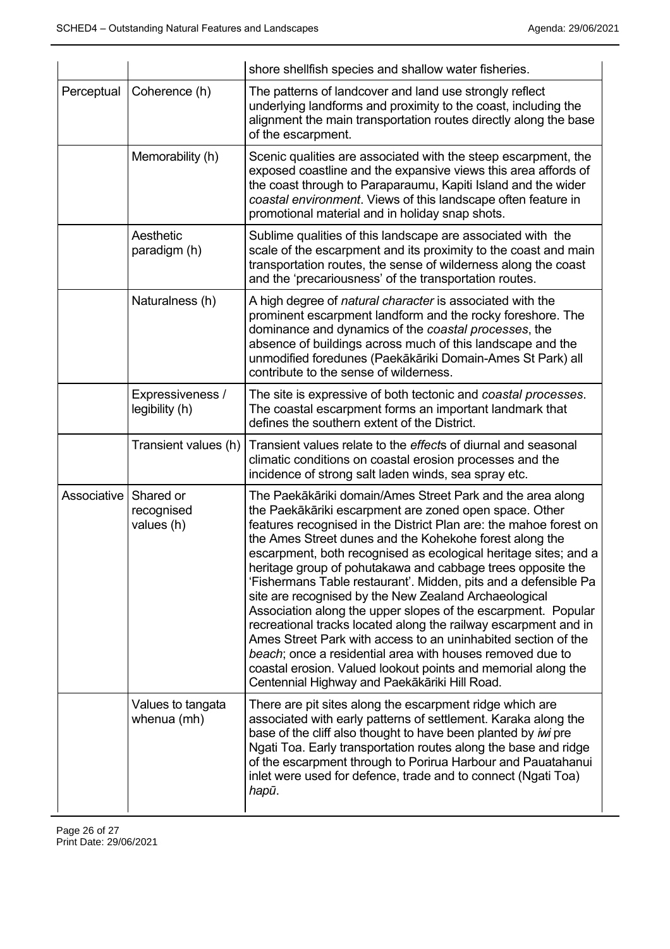|             |                                    | shore shellfish species and shallow water fisheries.                                                                                                                                                                                                                                                                                                                                                                                                                                                                                                                                                                                                                                                                                                                                                                                     |
|-------------|------------------------------------|------------------------------------------------------------------------------------------------------------------------------------------------------------------------------------------------------------------------------------------------------------------------------------------------------------------------------------------------------------------------------------------------------------------------------------------------------------------------------------------------------------------------------------------------------------------------------------------------------------------------------------------------------------------------------------------------------------------------------------------------------------------------------------------------------------------------------------------|
| Perceptual  | Coherence (h)                      | The patterns of landcover and land use strongly reflect<br>underlying landforms and proximity to the coast, including the<br>alignment the main transportation routes directly along the base<br>of the escarpment.                                                                                                                                                                                                                                                                                                                                                                                                                                                                                                                                                                                                                      |
|             | Memorability (h)                   | Scenic qualities are associated with the steep escarpment, the<br>exposed coastline and the expansive views this area affords of<br>the coast through to Paraparaumu, Kapiti Island and the wider<br>coastal environment. Views of this landscape often feature in<br>promotional material and in holiday snap shots.                                                                                                                                                                                                                                                                                                                                                                                                                                                                                                                    |
|             | Aesthetic<br>paradigm (h)          | Sublime qualities of this landscape are associated with the<br>scale of the escarpment and its proximity to the coast and main<br>transportation routes, the sense of wilderness along the coast<br>and the 'precariousness' of the transportation routes.                                                                                                                                                                                                                                                                                                                                                                                                                                                                                                                                                                               |
|             | Naturalness (h)                    | A high degree of natural character is associated with the<br>prominent escarpment landform and the rocky foreshore. The<br>dominance and dynamics of the coastal processes, the<br>absence of buildings across much of this landscape and the<br>unmodified foredunes (Paekākāriki Domain-Ames St Park) all<br>contribute to the sense of wilderness.                                                                                                                                                                                                                                                                                                                                                                                                                                                                                    |
|             | Expressiveness /<br>legibility (h) | The site is expressive of both tectonic and coastal processes.<br>The coastal escarpment forms an important landmark that<br>defines the southern extent of the District.                                                                                                                                                                                                                                                                                                                                                                                                                                                                                                                                                                                                                                                                |
|             | Transient values (h)               | Transient values relate to the effects of diurnal and seasonal<br>climatic conditions on coastal erosion processes and the<br>incidence of strong salt laden winds, sea spray etc.                                                                                                                                                                                                                                                                                                                                                                                                                                                                                                                                                                                                                                                       |
| Associative | Shared or<br>recognised            | The Paekākāriki domain/Ames Street Park and the area along                                                                                                                                                                                                                                                                                                                                                                                                                                                                                                                                                                                                                                                                                                                                                                               |
|             | values (h)                         | the Paekākāriki escarpment are zoned open space. Other<br>features recognised in the District Plan are: the mahoe forest on<br>the Ames Street dunes and the Kohekohe forest along the<br>escarpment, both recognised as ecological heritage sites; and a<br>heritage group of pohutakawa and cabbage trees opposite the<br>'Fishermans Table restaurant'. Midden, pits and a defensible Pa<br>site are recognised by the New Zealand Archaeological<br>Association along the upper slopes of the escarpment. Popular<br>recreational tracks located along the railway escarpment and in<br>Ames Street Park with access to an uninhabited section of the<br>beach; once a residential area with houses removed due to<br>coastal erosion. Valued lookout points and memorial along the<br>Centennial Highway and Paekākāriki Hill Road. |